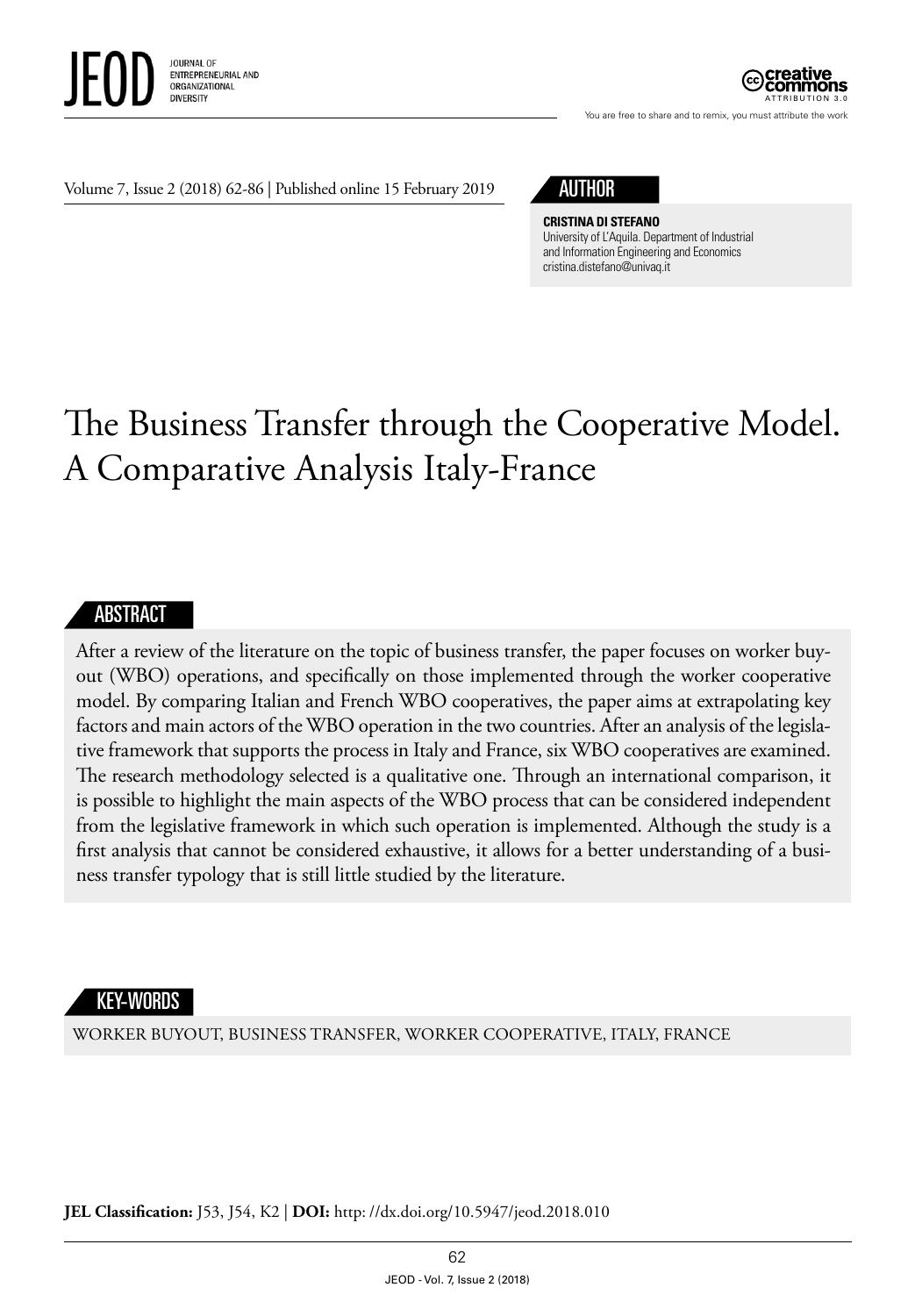

ATTRIBUTION 3.0

You are free to share and to remix, you must attribute the work

#### Volume 7, Issue 2 (2018) 62-86 | Published online 15 February 2019

# AUTHOR

**CRISTINA DI STEFANO** University of L'Aquila. Department of Industrial and Information Engineering and Economics [cristina.distefano@univaq.it](mailto:cristina.distefano@univaq.it)

# The Business Transfer through the Cooperative Model. A Comparative Analysis Italy-France

#### **ABSTRACT**

After a review of the literature on the topic of business transfer, the paper focuses on worker buyout (WBO) operations, and specifically on those implemented through the worker cooperative model. By comparing Italian and French WBO cooperatives, the paper aims at extrapolating key factors and main actors of the WBO operation in the two countries. After an analysis of the legislative framework that supports the process in Italy and France, six WBO cooperatives are examined. The research methodology selected is a qualitative one. Through an international comparison, it is possible to highlight the main aspects of the WBO process that can be considered independent from the legislative framework in which such operation is implemented. Although the study is a first analysis that cannot be considered exhaustive, it allows for a better understanding of a business transfer typology that is still little studied by the literature.

#### KEY-WORDS

WORKER BUYOUT, BUSINESS TRANSFER, WORKER COOPERATIVE, ITALY, FRANCE

**JEL Classification:** J53, J54, K2 | **DOI:** http: //dx.doi.org/10.5947/jeod.2018.010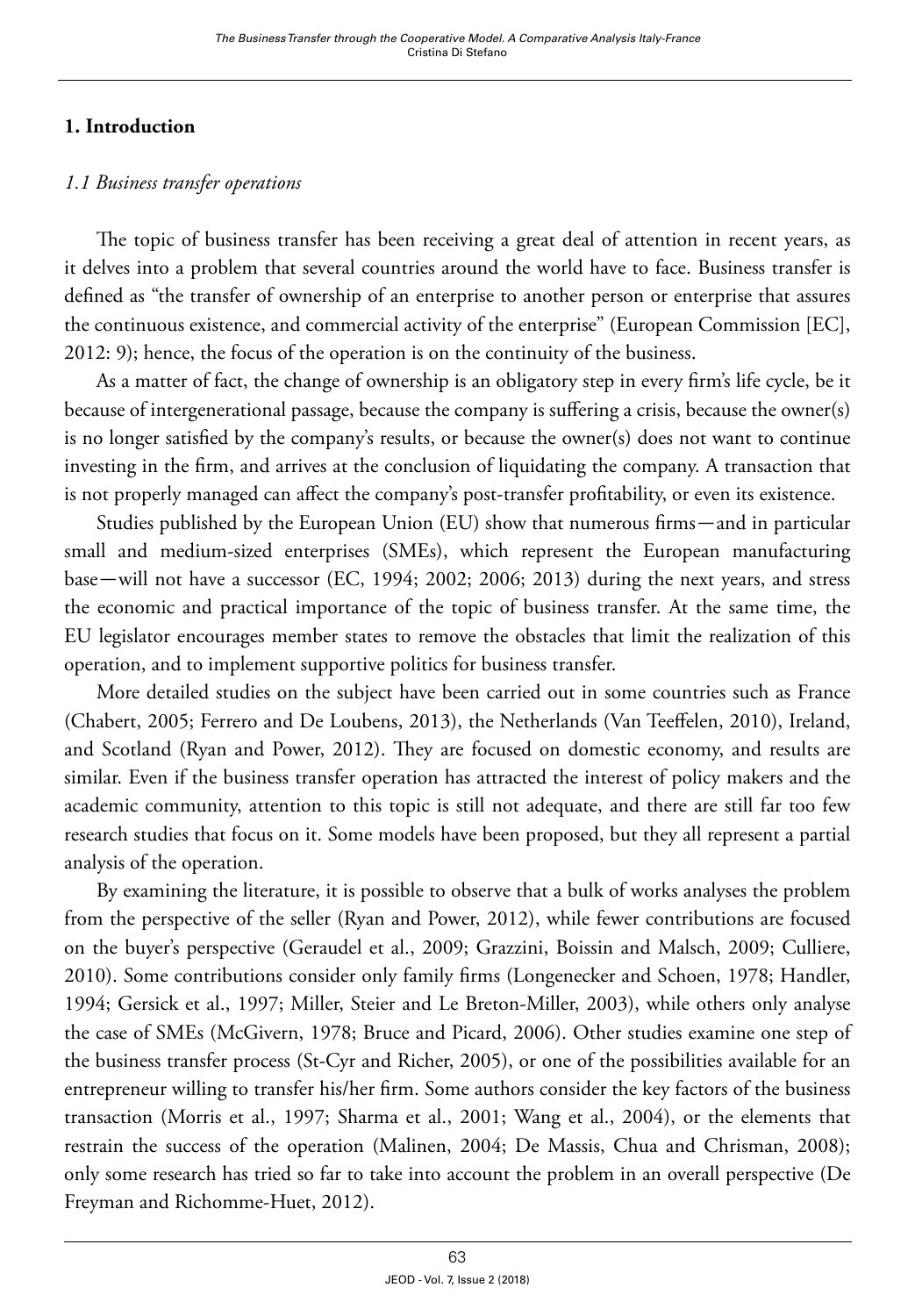# **1. Introduction**

# *1.1 Business transfer operations*

The topic of business transfer has been receiving a great deal of attention in recent years, as it delves into a problem that several countries around the world have to face. Business transfer is defined as "the transfer of ownership of an enterprise to another person or enterprise that assures the continuous existence, and commercial activity of the enterprise" (European Commission [EC], 2012: 9); hence, the focus of the operation is on the continuity of the business.

As a matter of fact, the change of ownership is an obligatory step in every firm's life cycle, be it because of intergenerational passage, because the company is suffering a crisis, because the owner(s) is no longer satisfied by the company's results, or because the owner(s) does not want to continue investing in the firm, and arrives at the conclusion of liquidating the company. A transaction that is not properly managed can affect the company's post-transfer profitability, or even its existence.

Studies published by the European Union (EU) show that numerous firms—and in particular small and medium-sized enterprises (SMEs), which represent the European manufacturing base—will not have a successor (EC, 1994; 2002; 2006; 2013) during the next years, and stress the economic and practical importance of the topic of business transfer. At the same time, the EU legislator encourages member states to remove the obstacles that limit the realization of this operation, and to implement supportive politics for business transfer.

More detailed studies on the subject have been carried out in some countries such as France (Chabert, 2005; Ferrero and De Loubens, 2013), the Netherlands (Van Teeffelen, 2010), Ireland, and Scotland (Ryan and Power, 2012). They are focused on domestic economy, and results are similar. Even if the business transfer operation has attracted the interest of policy makers and the academic community, attention to this topic is still not adequate, and there are still far too few research studies that focus on it. Some models have been proposed, but they all represent a partial analysis of the operation.

By examining the literature, it is possible to observe that a bulk of works analyses the problem from the perspective of the seller (Ryan and Power, 2012), while fewer contributions are focused on the buyer's perspective (Geraudel et al., 2009; Grazzini, Boissin and Malsch, 2009; Culliere, 2010). Some contributions consider only family firms (Longenecker and Schoen, 1978; Handler, 1994; Gersick et al., 1997; Miller, Steier and Le Breton-Miller, 2003), while others only analyse the case of SMEs (McGivern, 1978; Bruce and Picard, 2006). Other studies examine one step of the business transfer process (St-Cyr and Richer, 2005), or one of the possibilities available for an entrepreneur willing to transfer his/her firm. Some authors consider the key factors of the business transaction (Morris et al., 1997; Sharma et al., 2001; Wang et al., 2004), or the elements that restrain the success of the operation (Malinen, 2004; De Massis, Chua and Chrisman, 2008); only some research has tried so far to take into account the problem in an overall perspective (De Freyman and Richomme-Huet, 2012).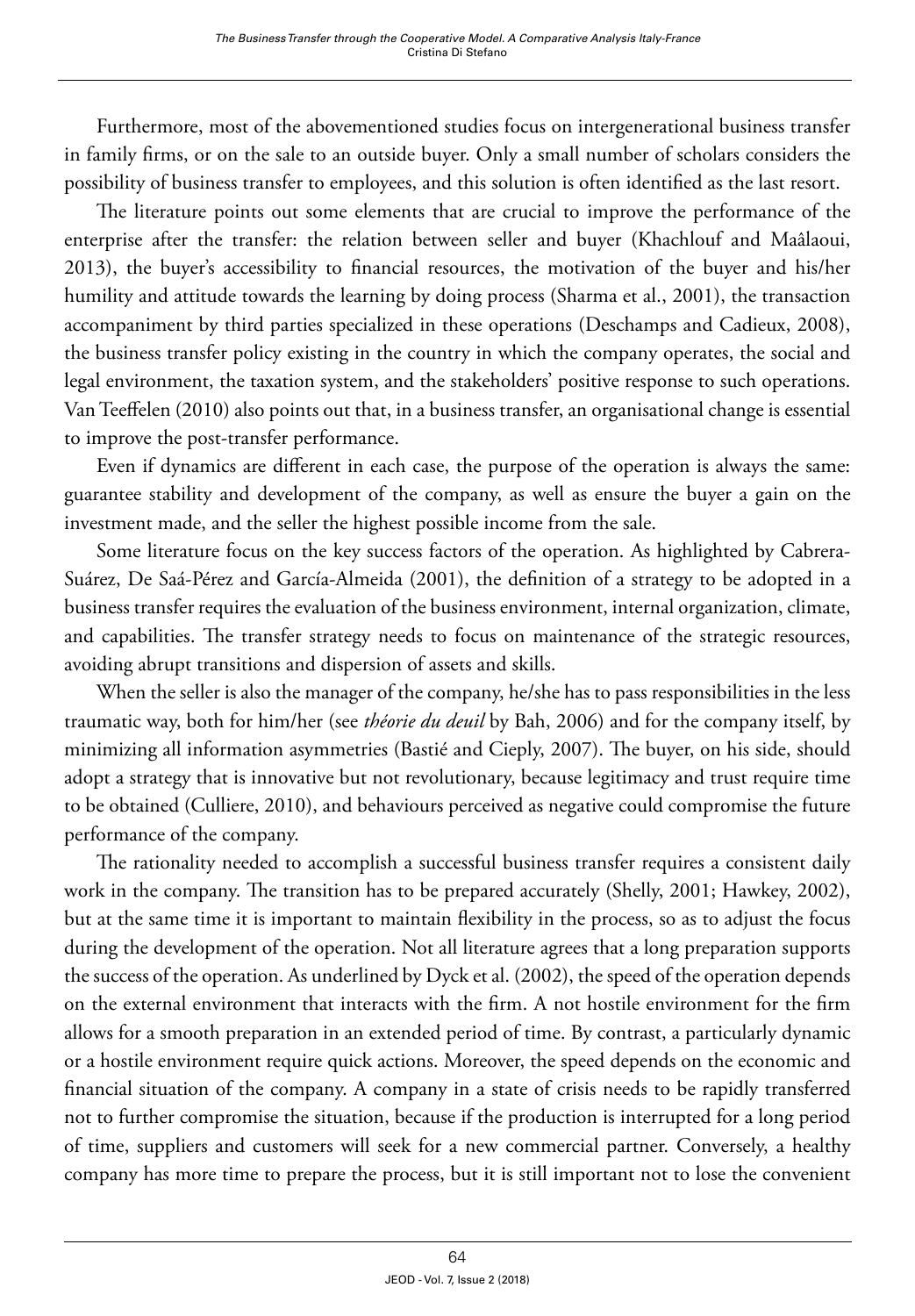Furthermore, most of the abovementioned studies focus on intergenerational business transfer in family firms, or on the sale to an outside buyer. Only a small number of scholars considers the possibility of business transfer to employees, and this solution is often identified as the last resort.

The literature points out some elements that are crucial to improve the performance of the enterprise after the transfer: the relation between seller and buyer (Khachlouf and Maâlaoui, 2013), the buyer's accessibility to financial resources, the motivation of the buyer and his/her humility and attitude towards the learning by doing process (Sharma et al., 2001), the transaction accompaniment by third parties specialized in these operations (Deschamps and Cadieux, 2008), the business transfer policy existing in the country in which the company operates, the social and legal environment, the taxation system, and the stakeholders' positive response to such operations. Van Teeffelen (2010) also points out that, in a business transfer, an organisational change is essential to improve the post-transfer performance.

Even if dynamics are different in each case, the purpose of the operation is always the same: guarantee stability and development of the company, as well as ensure the buyer a gain on the investment made, and the seller the highest possible income from the sale.

Some literature focus on the key success factors of the operation. As highlighted by Cabrera-Suárez, De Saá-Pérez and García-Almeida (2001), the definition of a strategy to be adopted in a business transfer requires the evaluation of the business environment, internal organization, climate, and capabilities. The transfer strategy needs to focus on maintenance of the strategic resources, avoiding abrupt transitions and dispersion of assets and skills.

When the seller is also the manager of the company, he/she has to pass responsibilities in the less traumatic way, both for him/her (see *théorie du deuil* by Bah, 2006) and for the company itself, by minimizing all information asymmetries (Bastié and Cieply, 2007). The buyer, on his side, should adopt a strategy that is innovative but not revolutionary, because legitimacy and trust require time to be obtained (Culliere, 2010), and behaviours perceived as negative could compromise the future performance of the company.

The rationality needed to accomplish a successful business transfer requires a consistent daily work in the company. The transition has to be prepared accurately (Shelly, 2001; Hawkey, 2002), but at the same time it is important to maintain flexibility in the process, so as to adjust the focus during the development of the operation. Not all literature agrees that a long preparation supports the success of the operation. As underlined by Dyck et al. (2002), the speed of the operation depends on the external environment that interacts with the firm. A not hostile environment for the firm allows for a smooth preparation in an extended period of time. By contrast, a particularly dynamic or a hostile environment require quick actions. Moreover, the speed depends on the economic and financial situation of the company. A company in a state of crisis needs to be rapidly transferred not to further compromise the situation, because if the production is interrupted for a long period of time, suppliers and customers will seek for a new commercial partner. Conversely, a healthy company has more time to prepare the process, but it is still important not to lose the convenient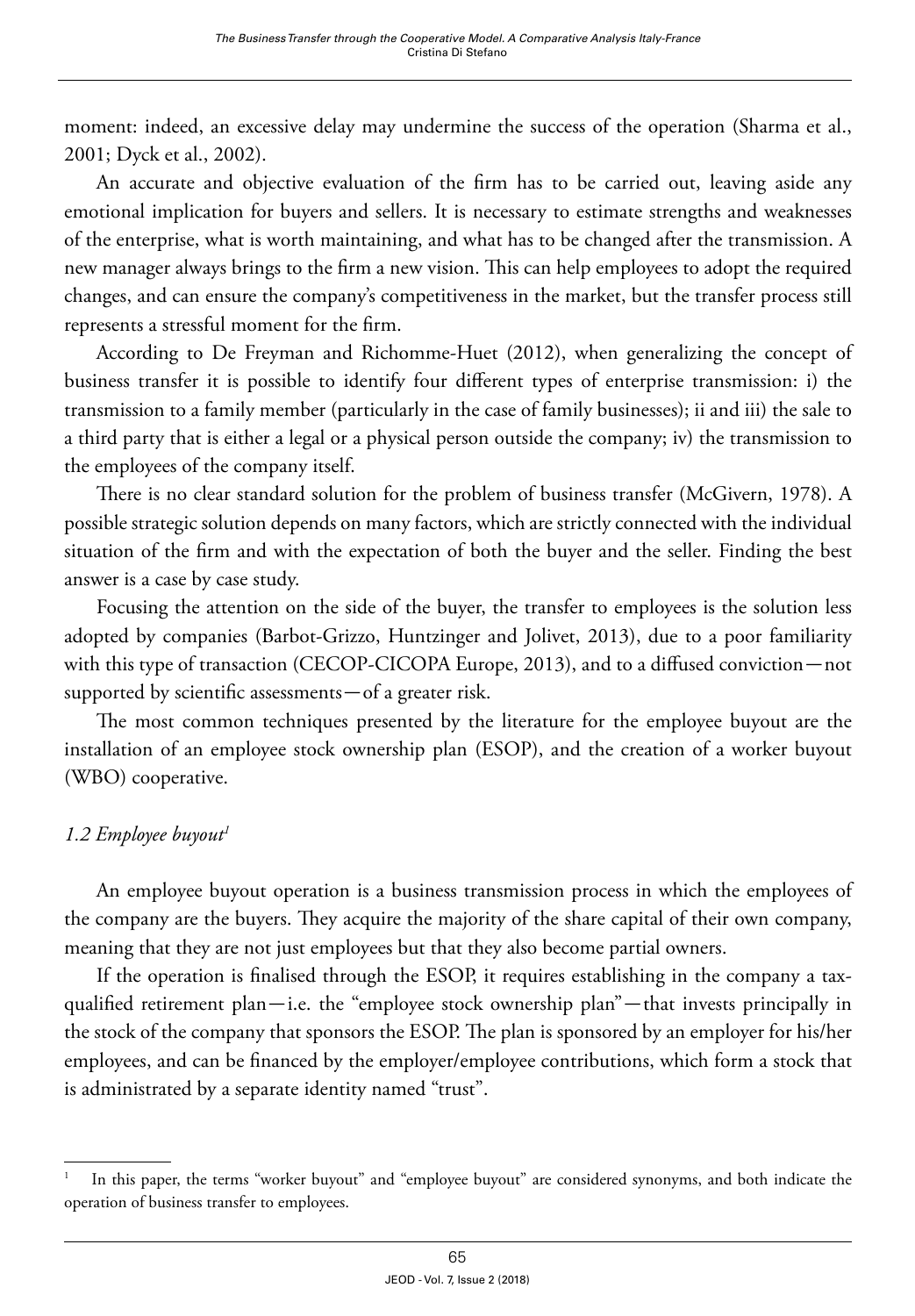moment: indeed, an excessive delay may undermine the success of the operation (Sharma et al., 2001; Dyck et al., 2002).

An accurate and objective evaluation of the firm has to be carried out, leaving aside any emotional implication for buyers and sellers. It is necessary to estimate strengths and weaknesses of the enterprise, what is worth maintaining, and what has to be changed after the transmission. A new manager always brings to the firm a new vision. This can help employees to adopt the required changes, and can ensure the company's competitiveness in the market, but the transfer process still represents a stressful moment for the firm.

According to De Freyman and Richomme-Huet (2012), when generalizing the concept of business transfer it is possible to identify four different types of enterprise transmission: i) the transmission to a family member (particularly in the case of family businesses); ii and iii) the sale to a third party that is either a legal or a physical person outside the company; iv) the transmission to the employees of the company itself.

There is no clear standard solution for the problem of business transfer (McGivern, 1978). A possible strategic solution depends on many factors, which are strictly connected with the individual situation of the firm and with the expectation of both the buyer and the seller. Finding the best answer is a case by case study.

Focusing the attention on the side of the buyer, the transfer to employees is the solution less adopted by companies (Barbot-Grizzo, Huntzinger and Jolivet, 2013), due to a poor familiarity with this type of transaction (CECOP-CICOPA Europe, 2013), and to a diffused conviction—not supported by scientific assessments—of a greater risk.

The most common techniques presented by the literature for the employee buyout are the installation of an employee stock ownership plan (ESOP), and the creation of a worker buyout (WBO) cooperative.

# *1.2 Employee buyout1*

An employee buyout operation is a business transmission process in which the employees of the company are the buyers. They acquire the majority of the share capital of their own company, meaning that they are not just employees but that they also become partial owners.

If the operation is finalised through the ESOP, it requires establishing in the company a taxqualified retirement plan—i.e. the "employee stock ownership plan"—that invests principally in the stock of the company that sponsors the ESOP. The plan is sponsored by an employer for his/her employees, and can be financed by the employer/employee contributions, which form a stock that is administrated by a separate identity named "trust".

<sup>1</sup> In this paper, the terms "worker buyout" and "employee buyout" are considered synonyms, and both indicate the operation of business transfer to employees.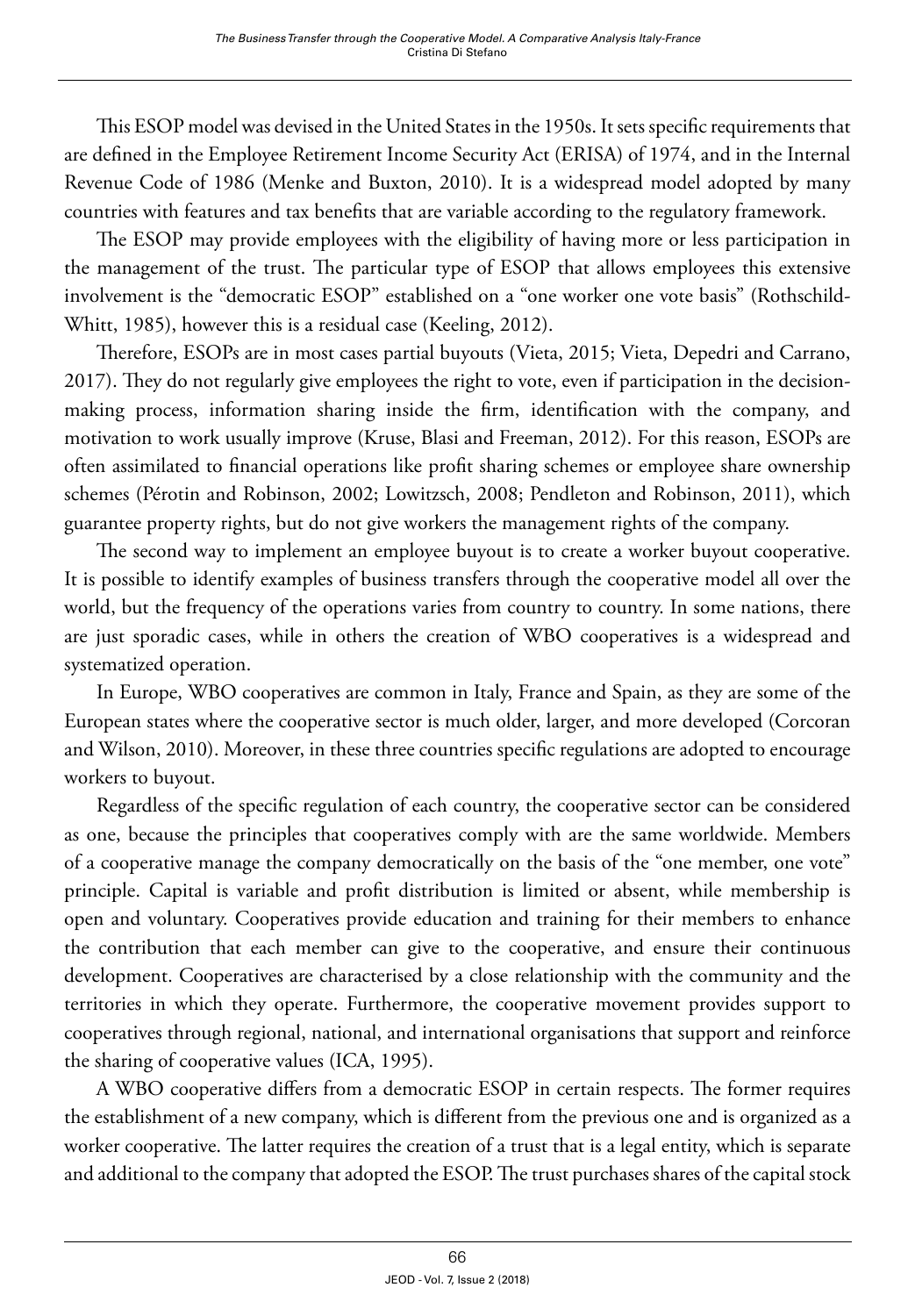This ESOP model was devised in the United States in the 1950s. It sets specific requirements that are defined in the Employee Retirement Income Security Act (ERISA) of 1974, and in the Internal Revenue Code of 1986 (Menke and Buxton, 2010). It is a widespread model adopted by many countries with features and tax benefits that are variable according to the regulatory framework.

The ESOP may provide employees with the eligibility of having more or less participation in the management of the trust. The particular type of ESOP that allows employees this extensive involvement is the "democratic ESOP" established on a "one worker one vote basis" (Rothschild-Whitt, 1985), however this is a residual case (Keeling, 2012).

Therefore, ESOPs are in most cases partial buyouts (Vieta, 2015; Vieta, Depedri and Carrano, 2017). They do not regularly give employees the right to vote, even if participation in the decisionmaking process, information sharing inside the firm, identification with the company, and motivation to work usually improve (Kruse, Blasi and Freeman, 2012). For this reason, ESOPs are often assimilated to financial operations like profit sharing schemes or employee share ownership schemes (Pérotin and Robinson, 2002; Lowitzsch, 2008; Pendleton and Robinson, 2011), which guarantee property rights, but do not give workers the management rights of the company.

The second way to implement an employee buyout is to create a worker buyout cooperative. It is possible to identify examples of business transfers through the cooperative model all over the world, but the frequency of the operations varies from country to country. In some nations, there are just sporadic cases, while in others the creation of WBO cooperatives is a widespread and systematized operation.

In Europe, WBO cooperatives are common in Italy, France and Spain, as they are some of the European states where the cooperative sector is much older, larger, and more developed (Corcoran and Wilson, 2010). Moreover, in these three countries specific regulations are adopted to encourage workers to buyout.

Regardless of the specific regulation of each country, the cooperative sector can be considered as one, because the principles that cooperatives comply with are the same worldwide. Members of a cooperative manage the company democratically on the basis of the "one member, one vote" principle. Capital is variable and profit distribution is limited or absent, while membership is open and voluntary. Cooperatives provide education and training for their members to enhance the contribution that each member can give to the cooperative, and ensure their continuous development. Cooperatives are characterised by a close relationship with the community and the territories in which they operate. Furthermore, the cooperative movement provides support to cooperatives through regional, national, and international organisations that support and reinforce the sharing of cooperative values (ICA, 1995).

A WBO cooperative differs from a democratic ESOP in certain respects. The former requires the establishment of a new company, which is different from the previous one and is organized as a worker cooperative. The latter requires the creation of a trust that is a legal entity, which is separate and additional to the company that adopted the ESOP. The trust purchases shares of the capital stock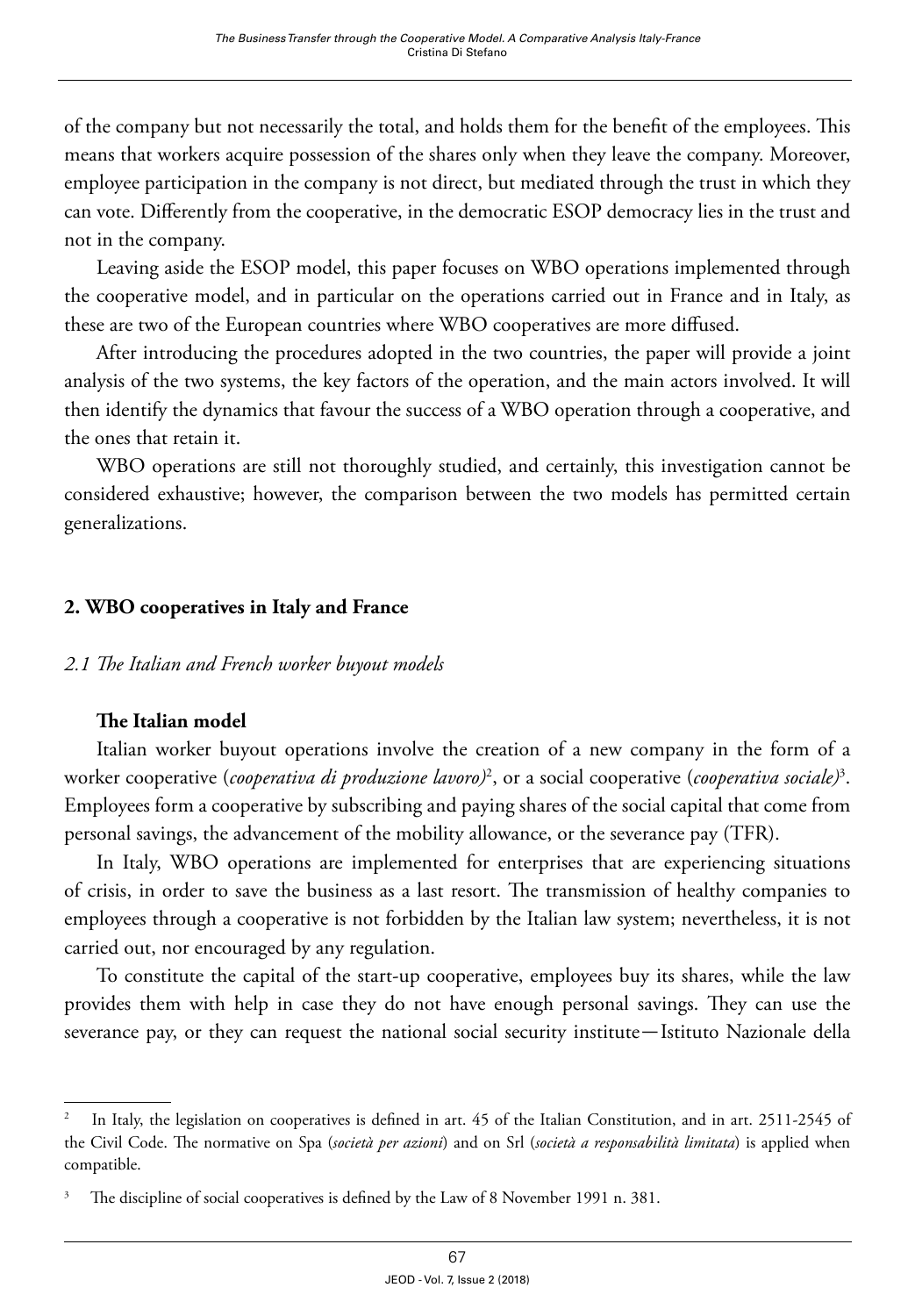of the company but not necessarily the total, and holds them for the benefit of the employees. This means that workers acquire possession of the shares only when they leave the company. Moreover, employee participation in the company is not direct, but mediated through the trust in which they can vote. Differently from the cooperative, in the democratic ESOP democracy lies in the trust and not in the company.

Leaving aside the ESOP model, this paper focuses on WBO operations implemented through the cooperative model, and in particular on the operations carried out in France and in Italy, as these are two of the European countries where WBO cooperatives are more diffused.

After introducing the procedures adopted in the two countries, the paper will provide a joint analysis of the two systems, the key factors of the operation, and the main actors involved. It will then identify the dynamics that favour the success of a WBO operation through a cooperative, and the ones that retain it.

WBO operations are still not thoroughly studied, and certainly, this investigation cannot be considered exhaustive; however, the comparison between the two models has permitted certain generalizations.

## **2. WBO cooperatives in Italy and France**

#### *2.1 The Italian and French worker buyout models*

### **The Italian model**

Italian worker buyout operations involve the creation of a new company in the form of a worker cooperative (*cooperativa di produzione lavoro)*<sup>2</sup> , or a social cooperative (*cooperativa sociale)*<sup>3</sup> . Employees form a cooperative by subscribing and paying shares of the social capital that come from personal savings, the advancement of the mobility allowance, or the severance pay (TFR).

In Italy, WBO operations are implemented for enterprises that are experiencing situations of crisis, in order to save the business as a last resort. The transmission of healthy companies to employees through a cooperative is not forbidden by the Italian law system; nevertheless, it is not carried out, nor encouraged by any regulation.

To constitute the capital of the start-up cooperative, employees buy its shares, while the law provides them with help in case they do not have enough personal savings. They can use the severance pay, or they can request the national social security institute—Istituto Nazionale della

<sup>2</sup> In Italy, the legislation on cooperatives is defined in art. 45 of the Italian Constitution, and in art. 2511-2545 of the Civil Code. The normative on Spa (*società per azioni*) and on Srl (*società a responsabilità limitata*) is applied when compatible.

The discipline of social cooperatives is defined by the Law of 8 November 1991 n. 381.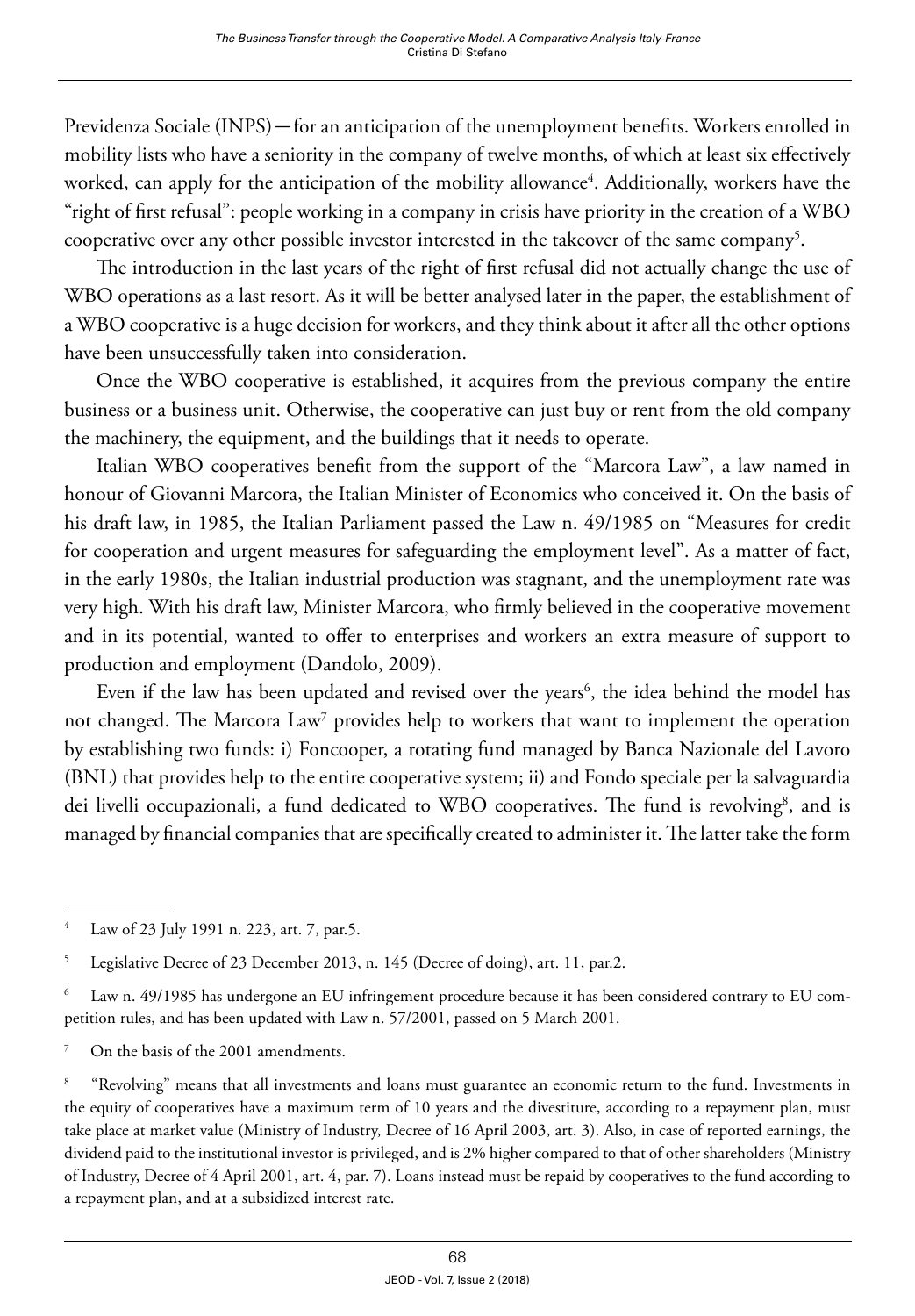Previdenza Sociale (INPS)—for an anticipation of the unemployment benefits. Workers enrolled in mobility lists who have a seniority in the company of twelve months, of which at least six effectively worked, can apply for the anticipation of the mobility allowance<sup>4</sup>. Additionally, workers have the "right of first refusal": people working in a company in crisis have priority in the creation of a WBO cooperative over any other possible investor interested in the takeover of the same company<sup>5</sup>.

The introduction in the last years of the right of first refusal did not actually change the use of WBO operations as a last resort. As it will be better analysed later in the paper, the establishment of a WBO cooperative is a huge decision for workers, and they think about it after all the other options have been unsuccessfully taken into consideration.

Once the WBO cooperative is established, it acquires from the previous company the entire business or a business unit. Otherwise, the cooperative can just buy or rent from the old company the machinery, the equipment, and the buildings that it needs to operate.

Italian WBO cooperatives benefit from the support of the "Marcora Law", a law named in honour of Giovanni Marcora, the Italian Minister of Economics who conceived it. On the basis of his draft law, in 1985, the Italian Parliament passed the Law n. 49/1985 on "Measures for credit for cooperation and urgent measures for safeguarding the employment level". As a matter of fact, in the early 1980s, the Italian industrial production was stagnant, and the unemployment rate was very high. With his draft law, Minister Marcora, who firmly believed in the cooperative movement and in its potential, wanted to offer to enterprises and workers an extra measure of support to production and employment (Dandolo, 2009).

Even if the law has been updated and revised over the years $\delta$ , the idea behind the model has not changed. The Marcora  $\text{Law}^7$  provides help to workers that want to implement the operation by establishing two funds: i) Foncooper, a rotating fund managed by Banca Nazionale del Lavoro (BNL) that provides help to the entire cooperative system; ii) and Fondo speciale per la salvaguardia dei livelli occupazionali, a fund dedicated to WBO cooperatives. The fund is revolving<sup>8</sup>, and is managed by financial companies that are specifically created to administer it. The latter take the form

Law of 23 July 1991 n. 223, art. 7, par.5.

<sup>&</sup>lt;sup>5</sup> Legislative Decree of 23 December 2013, n. 145 (Decree of doing), art. 11, par.2.

<sup>6</sup> Law n. 49/1985 has undergone an EU infringement procedure because it has been considered contrary to EU competition rules, and has been updated with Law n. 57/2001, passed on 5 March 2001.

<sup>7</sup> On the basis of the 2001 amendments.

<sup>&</sup>lt;sup>8</sup> "Revolving" means that all investments and loans must guarantee an economic return to the fund. Investments in the equity of cooperatives have a maximum term of 10 years and the divestiture, according to a repayment plan, must take place at market value (Ministry of Industry, Decree of 16 April 2003, art. 3). Also, in case of reported earnings, the dividend paid to the institutional investor is privileged, and is 2% higher compared to that of other shareholders (Ministry of Industry, Decree of 4 April 2001, art. 4, par. 7). Loans instead must be repaid by cooperatives to the fund according to a repayment plan, and at a subsidized interest rate.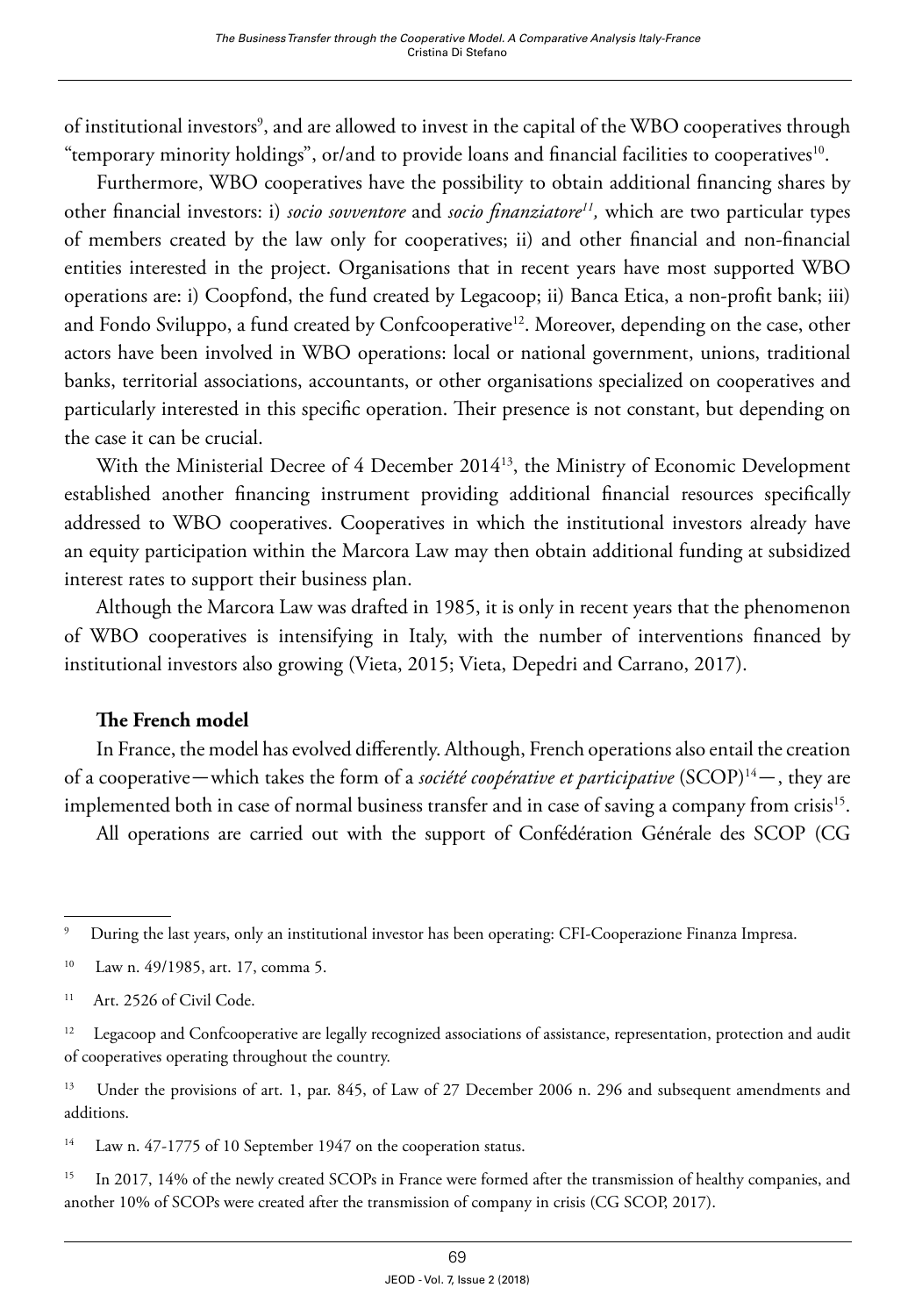of institutional investors<sup>9</sup>, and are allowed to invest in the capital of the WBO cooperatives through "temporary minority holdings", or/and to provide loans and financial facilities to cooperatives<sup>10</sup>.

Furthermore, WBO cooperatives have the possibility to obtain additional financing shares by other financial investors: i) *socio sovventore* and *socio finanziatore11,* which are two particular types of members created by the law only for cooperatives; ii) and other financial and non-financial entities interested in the project. Organisations that in recent years have most supported WBO operations are: i) Coopfond, the fund created by Legacoop; ii) Banca Etica, a non-profit bank; iii) and Fondo Sviluppo, a fund created by Confcooperative<sup>12</sup>. Moreover, depending on the case, other actors have been involved in WBO operations: local or national government, unions, traditional banks, territorial associations, accountants, or other organisations specialized on cooperatives and particularly interested in this specific operation. Their presence is not constant, but depending on the case it can be crucial.

With the Ministerial Decree of 4 December 2014<sup>13</sup>, the Ministry of Economic Development established another financing instrument providing additional financial resources specifically addressed to WBO cooperatives. Cooperatives in which the institutional investors already have an equity participation within the Marcora Law may then obtain additional funding at subsidized interest rates to support their business plan.

Although the Marcora Law was drafted in 1985, it is only in recent years that the phenomenon of WBO cooperatives is intensifying in Italy, with the number of interventions financed by institutional investors also growing (Vieta, 2015; Vieta, Depedri and Carrano, 2017).

### **The French model**

In France, the model has evolved differently. Although, French operations also entail the creation of a cooperative—which takes the form of a *société coopérative et participative* (SCOP)14—, they are implemented both in case of normal business transfer and in case of saving a company from crisis<sup>15</sup>.

All operations are carried out with the support of Confédération Générale des SCOP (CG

<sup>14</sup> Law n. 47-1775 of 10 September 1947 on the cooperation status.

<sup>15</sup> In 2017, 14% of the newly created SCOPs in France were formed after the transmission of healthy companies, and another 10% of SCOPs were created after the transmission of company in crisis (CG SCOP, 2017).

<sup>9</sup> During the last years, only an institutional investor has been operating: CFI-Cooperazione Finanza Impresa.

<sup>10</sup> Law n. 49/1985, art. 17, comma 5.

<sup>&</sup>lt;sup>11</sup> Art. 2526 of Civil Code.

<sup>&</sup>lt;sup>12</sup> Legacoop and Confcooperative are legally recognized associations of assistance, representation, protection and audit of cooperatives operating throughout the country.

<sup>&</sup>lt;sup>13</sup> Under the provisions of art. 1, par. 845, of Law of 27 December 2006 n. 296 and subsequent amendments and additions.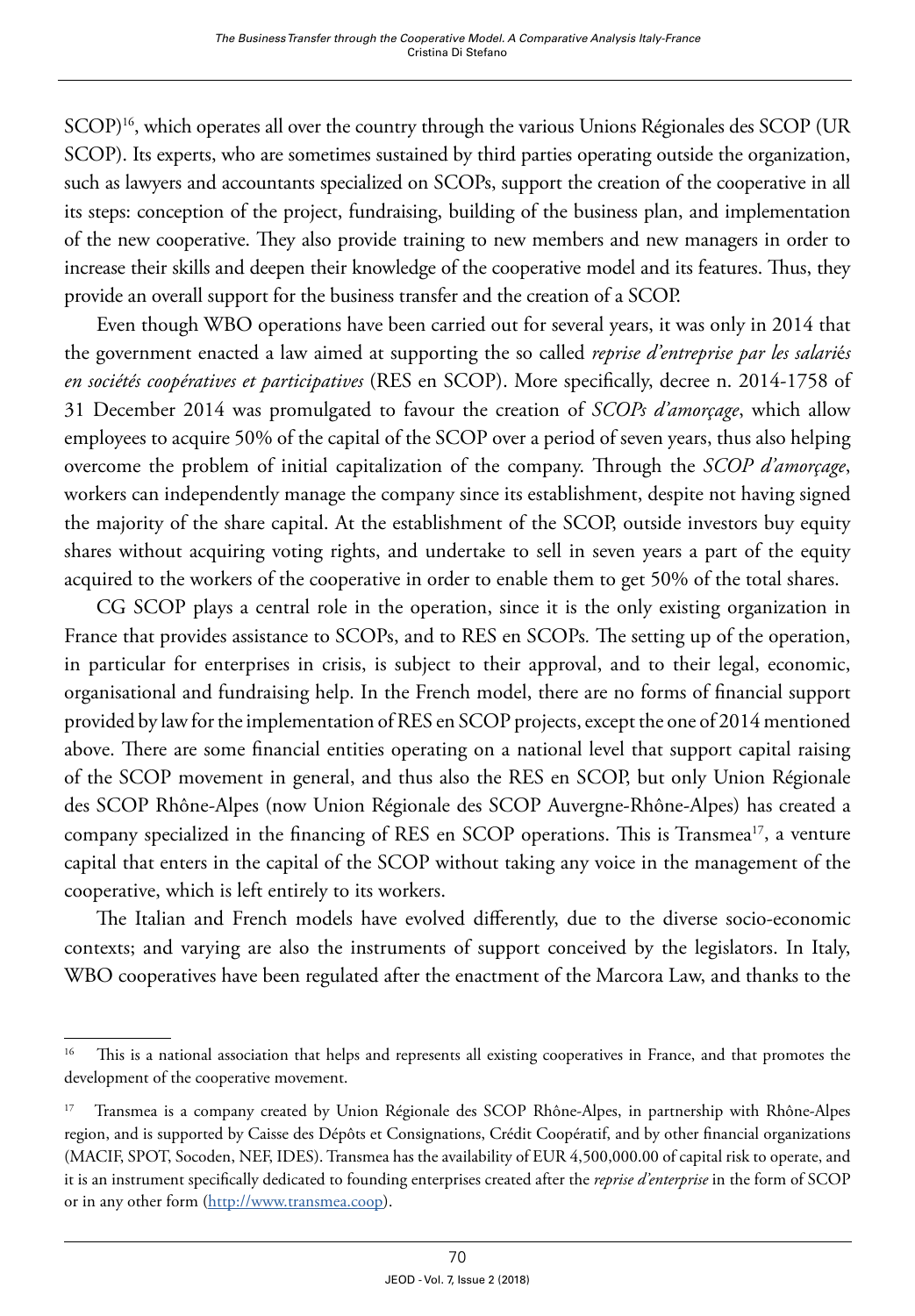SCOP)16, which operates all over the country through the various Unions Régionales des SCOP (UR SCOP). Its experts, who are sometimes sustained by third parties operating outside the organization, such as lawyers and accountants specialized on SCOPs, support the creation of the cooperative in all its steps: conception of the project, fundraising, building of the business plan, and implementation of the new cooperative. They also provide training to new members and new managers in order to increase their skills and deepen their knowledge of the cooperative model and its features. Thus, they provide an overall support for the business transfer and the creation of a SCOP.

Even though WBO operations have been carried out for several years, it was only in 2014 that the government enacted a law aimed at supporting the so called *reprise d'entreprise par les salari*é*s en sociétés coopératives et participatives* (RES en SCOP). More specifically, decree n. 2014-1758 of 31 December 2014 was promulgated to favour the creation of *SCOPs d'amorçage*, which allow employees to acquire 50% of the capital of the SCOP over a period of seven years, thus also helping overcome the problem of initial capitalization of the company. Through the *SCOP d'amorçage*, workers can independently manage the company since its establishment, despite not having signed the majority of the share capital. At the establishment of the SCOP, outside investors buy equity shares without acquiring voting rights, and undertake to sell in seven years a part of the equity acquired to the workers of the cooperative in order to enable them to get 50% of the total shares.

CG SCOP plays a central role in the operation, since it is the only existing organization in France that provides assistance to SCOPs, and to RES en SCOPs*.* The setting up of the operation, in particular for enterprises in crisis, is subject to their approval, and to their legal, economic, organisational and fundraising help. In the French model, there are no forms of financial support provided by law for the implementation of RES en SCOP projects, except the one of 2014 mentioned above. There are some financial entities operating on a national level that support capital raising of the SCOP movement in general, and thus also the RES en SCOP, but only Union Régionale des SCOP Rhône-Alpes (now Union Régionale des SCOP Auvergne-Rhône-Alpes) has created a company specialized in the financing of RES en SCOP operations. This is Transmea<sup>17</sup>, a venture capital that enters in the capital of the SCOP without taking any voice in the management of the cooperative, which is left entirely to its workers.

The Italian and French models have evolved differently, due to the diverse socio-economic contexts; and varying are also the instruments of support conceived by the legislators. In Italy, WBO cooperatives have been regulated after the enactment of the Marcora Law, and thanks to the

<sup>&</sup>lt;sup>16</sup> This is a national association that helps and represents all existing cooperatives in France, and that promotes the development of the cooperative movement.

<sup>&</sup>lt;sup>17</sup> Transmea is a company created by Union Régionale des SCOP Rhône-Alpes, in partnership with Rhône-Alpes region, and is supported by Caisse des Dépôts et Consignations, Crédit Coopératif, and by other financial organizations (MACIF, SPOT, Socoden, NEF, IDES). Transmea has the availability of EUR 4,500,000.00 of capital risk to operate, and it is an instrument specifically dedicated to founding enterprises created after the *reprise d'enterprise* in the form of SCOP or in any other form [\(http://www.transmea.coop\)](http://www.transmea.coop).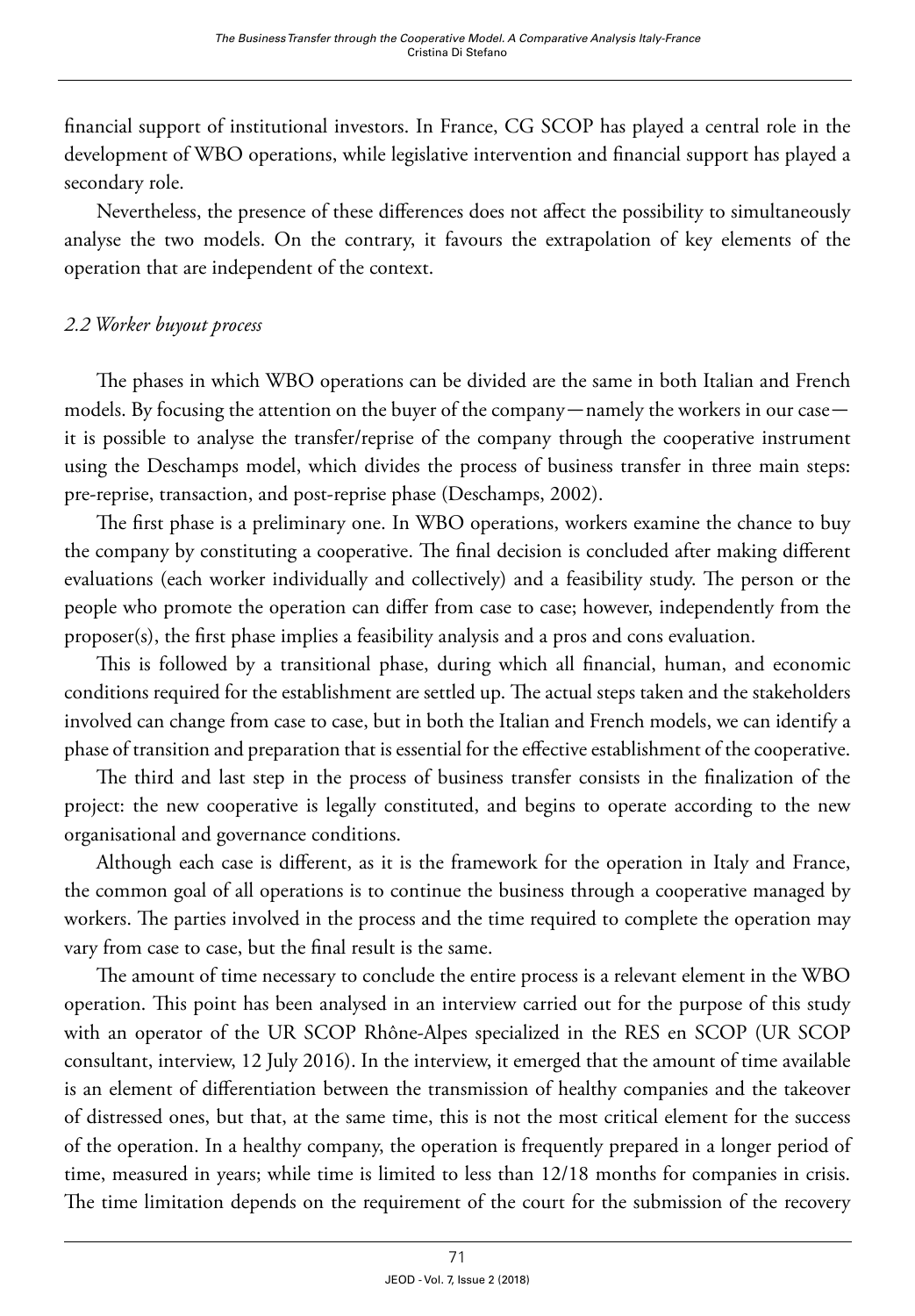financial support of institutional investors. In France, CG SCOP has played a central role in the development of WBO operations, while legislative intervention and financial support has played a secondary role.

Nevertheless, the presence of these differences does not affect the possibility to simultaneously analyse the two models. On the contrary, it favours the extrapolation of key elements of the operation that are independent of the context.

## *2.2 Worker buyout process*

The phases in which WBO operations can be divided are the same in both Italian and French models. By focusing the attention on the buyer of the company—namely the workers in our case it is possible to analyse the transfer/reprise of the company through the cooperative instrument using the Deschamps model, which divides the process of business transfer in three main steps: pre-reprise, transaction, and post-reprise phase (Deschamps, 2002).

The first phase is a preliminary one. In WBO operations, workers examine the chance to buy the company by constituting a cooperative. The final decision is concluded after making different evaluations (each worker individually and collectively) and a feasibility study. The person or the people who promote the operation can differ from case to case; however, independently from the proposer(s), the first phase implies a feasibility analysis and a pros and cons evaluation.

This is followed by a transitional phase, during which all financial, human, and economic conditions required for the establishment are settled up. The actual steps taken and the stakeholders involved can change from case to case, but in both the Italian and French models, we can identify a phase of transition and preparation that is essential for the effective establishment of the cooperative.

The third and last step in the process of business transfer consists in the finalization of the project: the new cooperative is legally constituted, and begins to operate according to the new organisational and governance conditions.

Although each case is different, as it is the framework for the operation in Italy and France, the common goal of all operations is to continue the business through a cooperative managed by workers. The parties involved in the process and the time required to complete the operation may vary from case to case, but the final result is the same.

The amount of time necessary to conclude the entire process is a relevant element in the WBO operation. This point has been analysed in an interview carried out for the purpose of this study with an operator of the UR SCOP Rhône-Alpes specialized in the RES en SCOP (UR SCOP consultant, interview, 12 July 2016). In the interview, it emerged that the amount of time available is an element of differentiation between the transmission of healthy companies and the takeover of distressed ones, but that, at the same time, this is not the most critical element for the success of the operation. In a healthy company, the operation is frequently prepared in a longer period of time, measured in years; while time is limited to less than 12/18 months for companies in crisis. The time limitation depends on the requirement of the court for the submission of the recovery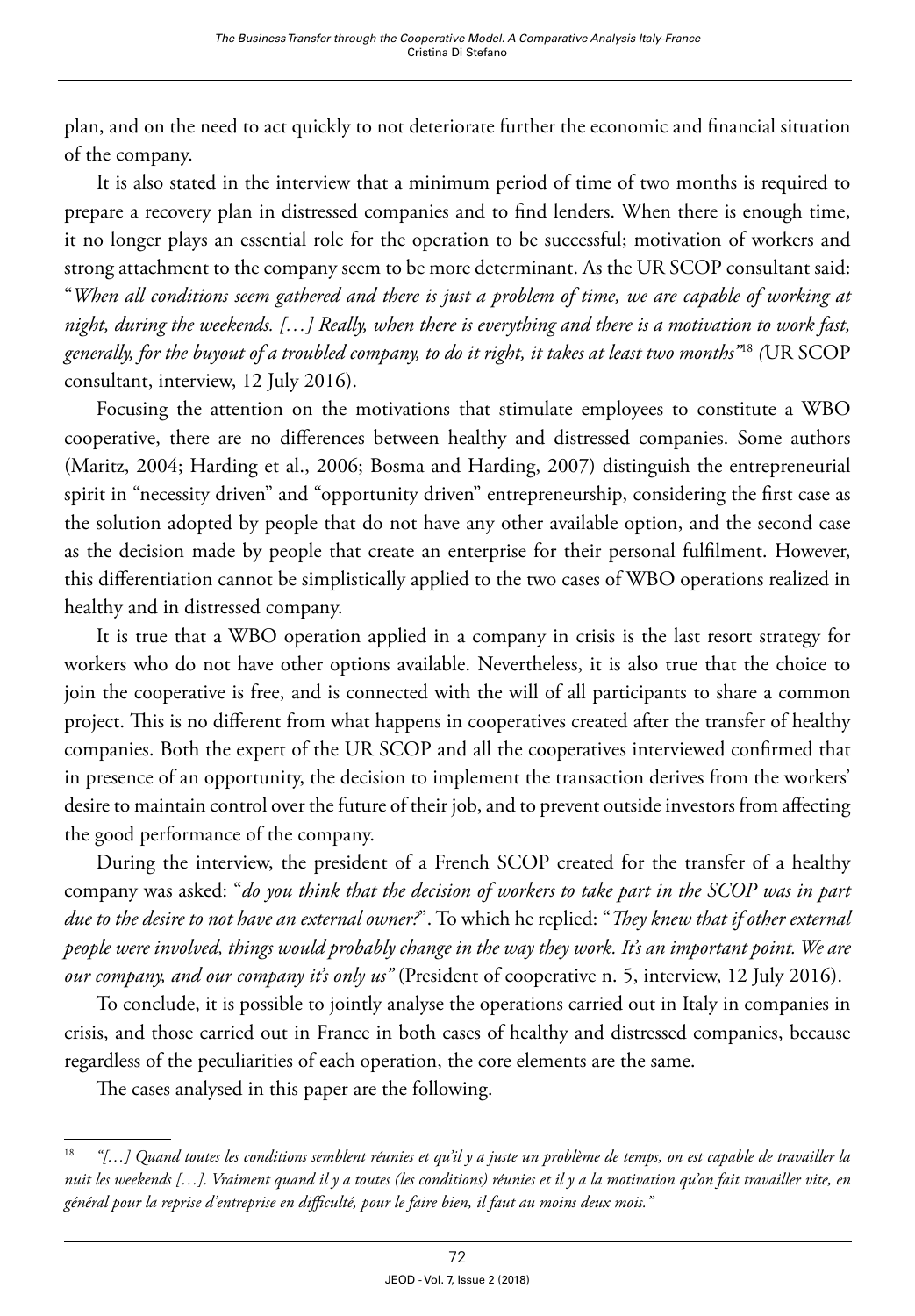plan, and on the need to act quickly to not deteriorate further the economic and financial situation of the company.

It is also stated in the interview that a minimum period of time of two months is required to prepare a recovery plan in distressed companies and to find lenders. When there is enough time, it no longer plays an essential role for the operation to be successful; motivation of workers and strong attachment to the company seem to be more determinant. As the UR SCOP consultant said: "*When all conditions seem gathered and there is just a problem of time, we are capable of working at night, during the weekends. […] Really, when there is everything and there is a motivation to work fast, generally, for the buyout of a troubled company, to do it right, it takes at least two months"*<sup>18</sup> *(*UR SCOP consultant, interview, 12 July 2016).

Focusing the attention on the motivations that stimulate employees to constitute a WBO cooperative, there are no differences between healthy and distressed companies. Some authors (Maritz, 2004; Harding et al., 2006; Bosma and Harding, 2007) distinguish the entrepreneurial spirit in "necessity driven" and "opportunity driven" entrepreneurship, considering the first case as the solution adopted by people that do not have any other available option, and the second case as the decision made by people that create an enterprise for their personal fulfilment. However, this differentiation cannot be simplistically applied to the two cases of WBO operations realized in healthy and in distressed company.

It is true that a WBO operation applied in a company in crisis is the last resort strategy for workers who do not have other options available. Nevertheless, it is also true that the choice to join the cooperative is free, and is connected with the will of all participants to share a common project. This is no different from what happens in cooperatives created after the transfer of healthy companies. Both the expert of the UR SCOP and all the cooperatives interviewed confirmed that in presence of an opportunity, the decision to implement the transaction derives from the workers' desire to maintain control over the future of their job, and to prevent outside investors from affecting the good performance of the company.

During the interview, the president of a French SCOP created for the transfer of a healthy company was asked: "*do you think that the decision of workers to take part in the SCOP was in part due to the desire to not have an external owner?*". To which he replied: "*They knew that if other external people were involved, things would probably change in the way they work. It's an important point. We are our company, and our company it's only us"* (President of cooperative n. 5, interview, 12 July 2016).

To conclude, it is possible to jointly analyse the operations carried out in Italy in companies in crisis, and those carried out in France in both cases of healthy and distressed companies, because regardless of the peculiarities of each operation, the core elements are the same.

The cases analysed in this paper are the following.

<sup>18</sup> *"[…] Quand toutes les conditions semblent réunies et qu'il y a juste un problème de temps, on est capable de travailler la nuit les weekends […]. Vraiment quand il y a toutes (les conditions) réunies et il y a la motivation qu'on fait travailler vite, en général pour la reprise d'entreprise en difficulté, pour le faire bien, il faut au moins deux mois."*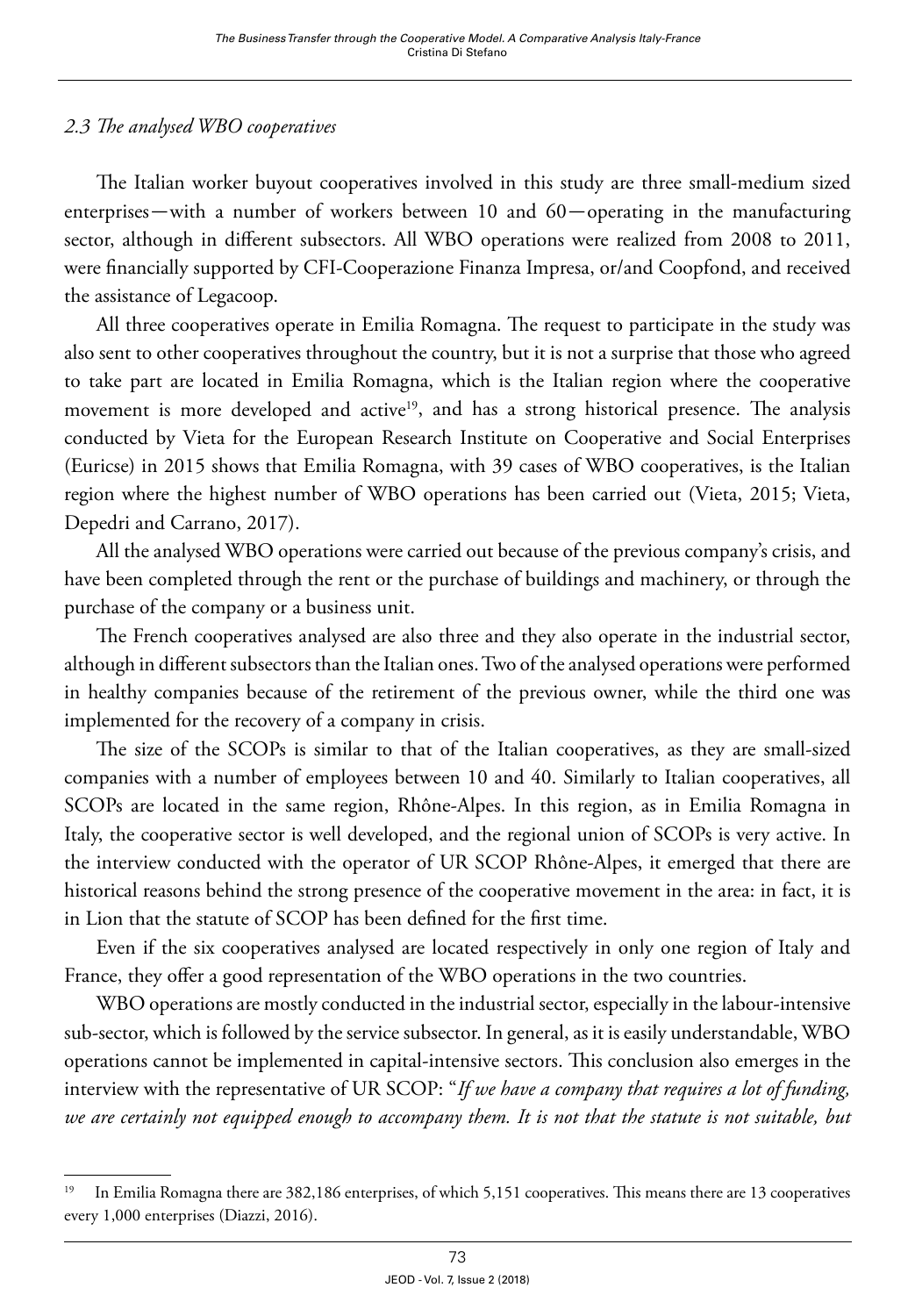# *2.3 The analysed WBO cooperatives*

The Italian worker buyout cooperatives involved in this study are three small-medium sized enterprises—with a number of workers between 10 and 60—operating in the manufacturing sector, although in different subsectors. All WBO operations were realized from 2008 to 2011, were financially supported by CFI-Cooperazione Finanza Impresa, or/and Coopfond, and received the assistance of Legacoop.

All three cooperatives operate in Emilia Romagna. The request to participate in the study was also sent to other cooperatives throughout the country, but it is not a surprise that those who agreed to take part are located in Emilia Romagna, which is the Italian region where the cooperative movement is more developed and active<sup>19</sup>, and has a strong historical presence. The analysis conducted by Vieta for the European Research Institute on Cooperative and Social Enterprises (Euricse) in 2015 shows that Emilia Romagna, with 39 cases of WBO cooperatives, is the Italian region where the highest number of WBO operations has been carried out (Vieta, 2015; Vieta, Depedri and Carrano, 2017).

All the analysed WBO operations were carried out because of the previous company's crisis, and have been completed through the rent or the purchase of buildings and machinery, or through the purchase of the company or a business unit.

The French cooperatives analysed are also three and they also operate in the industrial sector, although in different subsectors than the Italian ones. Two of the analysed operations were performed in healthy companies because of the retirement of the previous owner, while the third one was implemented for the recovery of a company in crisis.

The size of the SCOPs is similar to that of the Italian cooperatives, as they are small-sized companies with a number of employees between 10 and 40. Similarly to Italian cooperatives, all SCOPs are located in the same region, Rhône-Alpes. In this region, as in Emilia Romagna in Italy, the cooperative sector is well developed, and the regional union of SCOPs is very active. In the interview conducted with the operator of UR SCOP Rhône-Alpes, it emerged that there are historical reasons behind the strong presence of the cooperative movement in the area: in fact, it is in Lion that the statute of SCOP has been defined for the first time.

Even if the six cooperatives analysed are located respectively in only one region of Italy and France, they offer a good representation of the WBO operations in the two countries.

WBO operations are mostly conducted in the industrial sector, especially in the labour-intensive sub-sector, which is followed by the service subsector. In general, as it is easily understandable, WBO operations cannot be implemented in capital-intensive sectors. This conclusion also emerges in the interview with the representative of UR SCOP: "*If we have a company that requires a lot of funding, we are certainly not equipped enough to accompany them. It is not that the statute is not suitable, but* 

<sup>&</sup>lt;sup>19</sup> In Emilia Romagna there are 382,186 enterprises, of which 5,151 cooperatives. This means there are 13 cooperatives every 1,000 enterprises (Diazzi, 2016).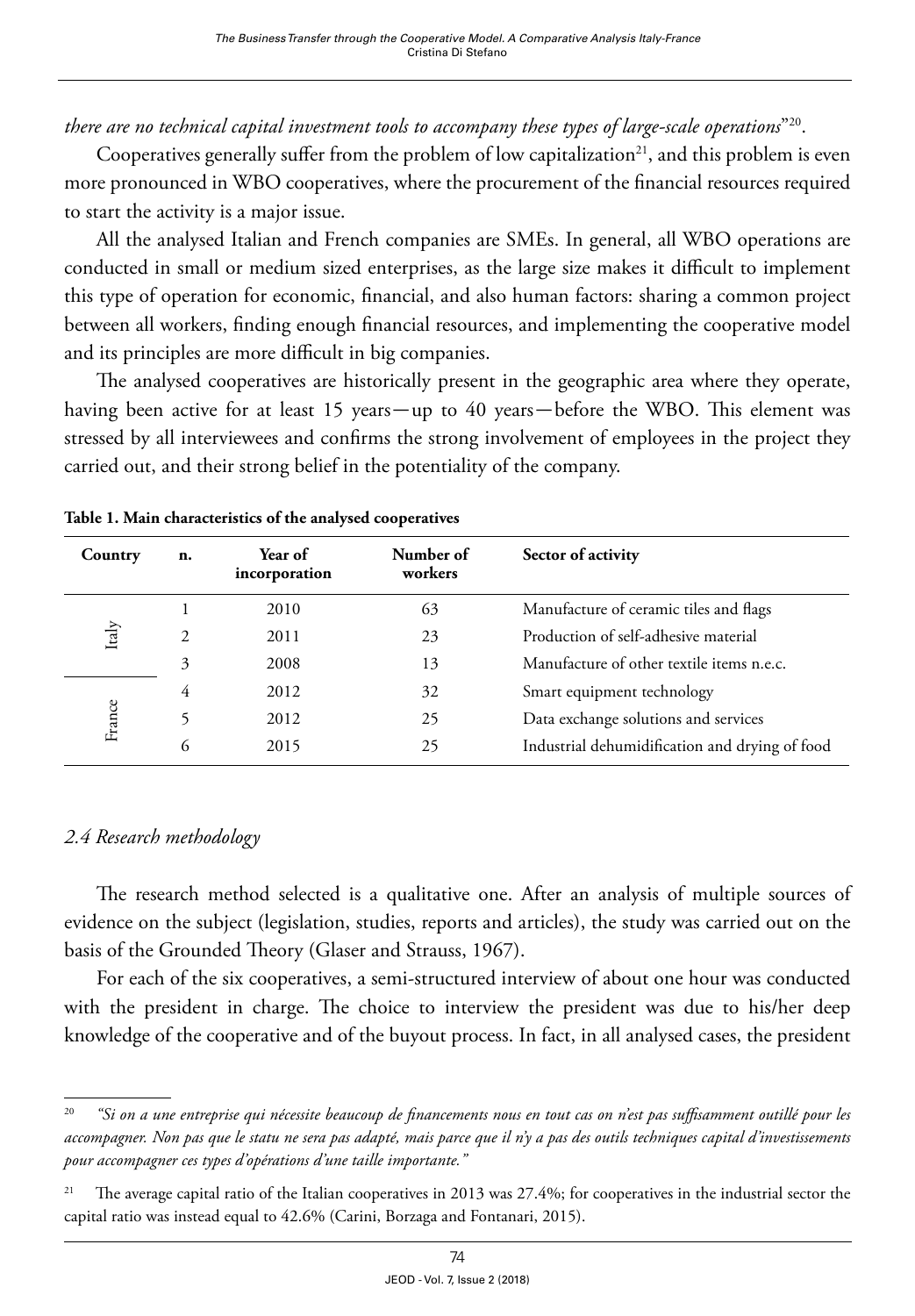*there are no technical capital investment tools to accompany these types of large-scale operations*"20.

Cooperatives generally suffer from the problem of low capitalization<sup>21</sup>, and this problem is even more pronounced in WBO cooperatives, where the procurement of the financial resources required to start the activity is a major issue.

All the analysed Italian and French companies are SMEs. In general, all WBO operations are conducted in small or medium sized enterprises, as the large size makes it difficult to implement this type of operation for economic, financial, and also human factors: sharing a common project between all workers, finding enough financial resources, and implementing the cooperative model and its principles are more difficult in big companies.

The analysed cooperatives are historically present in the geographic area where they operate, having been active for at least 15 years—up to 40 years—before the WBO. This element was stressed by all interviewees and confirms the strong involvement of employees in the project they carried out, and their strong belief in the potentiality of the company.

| Country | n. | Year of<br>incorporation | Number of<br>workers | Sector of activity                             |
|---------|----|--------------------------|----------------------|------------------------------------------------|
|         |    | 2010                     | 63                   | Manufacture of ceramic tiles and flags         |
| Italy   | 2  | 2011                     | 23                   | Production of self-adhesive material           |
|         | 3  | 2008                     | 13                   | Manufacture of other textile items n.e.c.      |
| France  | 4  | 2012                     | 32                   | Smart equipment technology                     |
|         |    | 2012                     | 25                   | Data exchange solutions and services           |
|         | 6  | 2015                     | 25                   | Industrial dehumidification and drying of food |

**Table 1. Main characteristics of the analysed cooperatives** 

### *2.4 Research methodology*

The research method selected is a qualitative one. After an analysis of multiple sources of evidence on the subject (legislation, studies, reports and articles), the study was carried out on the basis of the Grounded Theory (Glaser and Strauss, 1967).

For each of the six cooperatives, a semi-structured interview of about one hour was conducted with the president in charge. The choice to interview the president was due to his/her deep knowledge of the cooperative and of the buyout process. In fact, in all analysed cases, the president

<sup>20</sup> *"Si on a une entreprise qui nécessite beaucoup de financements nous en tout cas on n'est pas suffisamment outillé pour les accompagner. Non pas que le statu ne sera pas adapté, mais parce que il n'y a pas des outils techniques capital d'investissements pour accompagner ces types d'opérations d'une taille importante."*

<sup>&</sup>lt;sup>21</sup> The average capital ratio of the Italian cooperatives in 2013 was 27.4%; for cooperatives in the industrial sector the capital ratio was instead equal to 42.6% (Carini, Borzaga and Fontanari, 2015).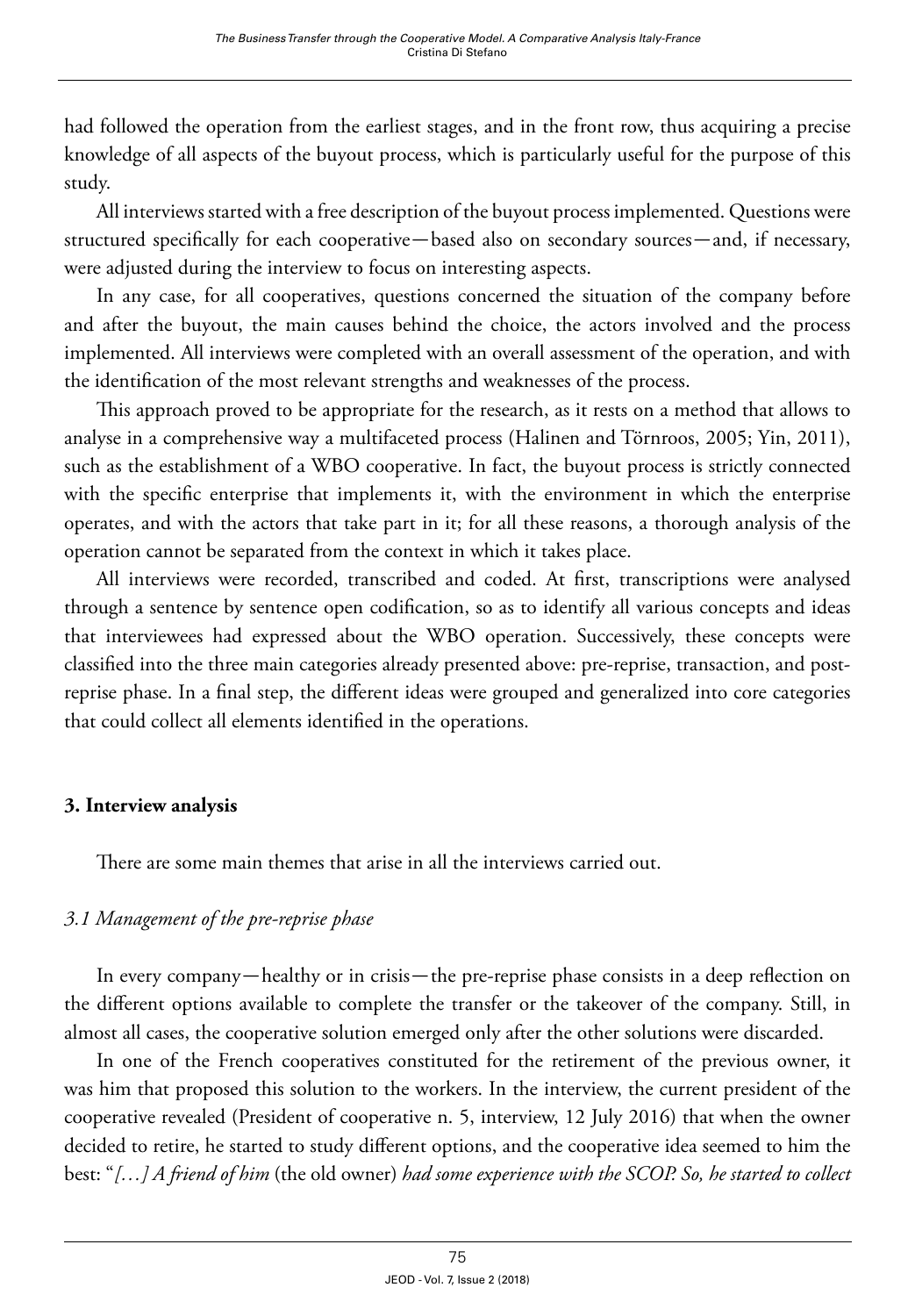had followed the operation from the earliest stages, and in the front row, thus acquiring a precise knowledge of all aspects of the buyout process, which is particularly useful for the purpose of this study.

All interviews started with a free description of the buyout process implemented. Questions were structured specifically for each cooperative—based also on secondary sources—and, if necessary, were adjusted during the interview to focus on interesting aspects.

In any case, for all cooperatives, questions concerned the situation of the company before and after the buyout, the main causes behind the choice, the actors involved and the process implemented. All interviews were completed with an overall assessment of the operation, and with the identification of the most relevant strengths and weaknesses of the process.

This approach proved to be appropriate for the research, as it rests on a method that allows to analyse in a comprehensive way a multifaceted process (Halinen and Törnroos, 2005; Yin, 2011), such as the establishment of a WBO cooperative. In fact, the buyout process is strictly connected with the specific enterprise that implements it, with the environment in which the enterprise operates, and with the actors that take part in it; for all these reasons, a thorough analysis of the operation cannot be separated from the context in which it takes place.

All interviews were recorded, transcribed and coded. At first, transcriptions were analysed through a sentence by sentence open codification, so as to identify all various concepts and ideas that interviewees had expressed about the WBO operation. Successively, these concepts were classified into the three main categories already presented above: pre-reprise, transaction, and postreprise phase. In a final step, the different ideas were grouped and generalized into core categories that could collect all elements identified in the operations.

### **3. Interview analysis**

There are some main themes that arise in all the interviews carried out.

# *3.1 Management of the pre-reprise phase*

In every company—healthy or in crisis—the pre-reprise phase consists in a deep reflection on the different options available to complete the transfer or the takeover of the company. Still, in almost all cases, the cooperative solution emerged only after the other solutions were discarded.

In one of the French cooperatives constituted for the retirement of the previous owner, it was him that proposed this solution to the workers. In the interview, the current president of the cooperative revealed (President of cooperative n. 5, interview, 12 July 2016) that when the owner decided to retire, he started to study different options, and the cooperative idea seemed to him the best: "*[…] A friend of him* (the old owner) *had some experience with the SCOP. So, he started to collect*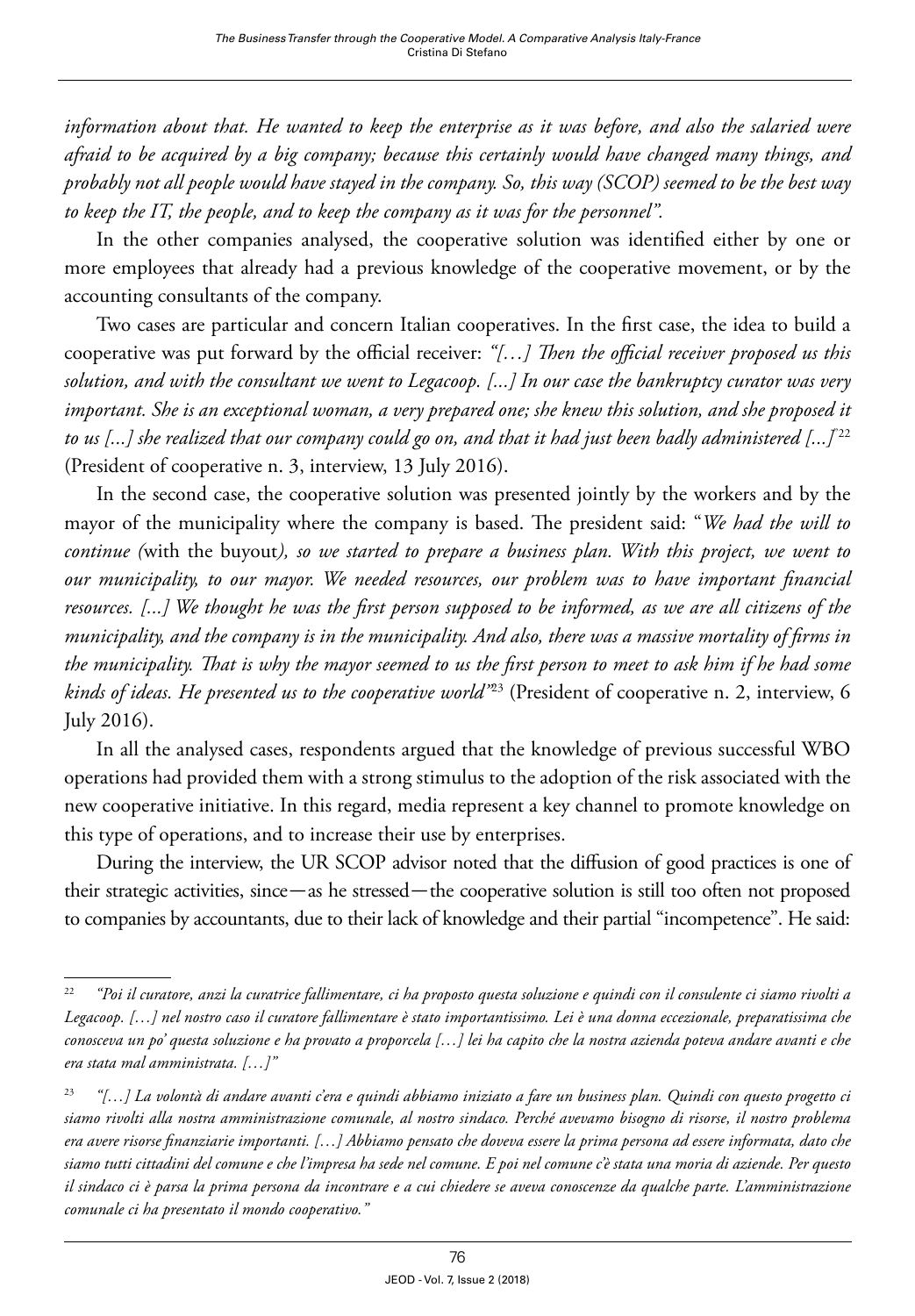*information about that. He wanted to keep the enterprise as it was before, and also the salaried were afraid to be acquired by a big company; because this certainly would have changed many things, and probably not all people would have stayed in the company. So, this way (SCOP) seemed to be the best way to keep the IT, the people, and to keep the company as it was for the personnel".*

In the other companies analysed, the cooperative solution was identified either by one or more employees that already had a previous knowledge of the cooperative movement, or by the accounting consultants of the company.

Two cases are particular and concern Italian cooperatives. In the first case, the idea to build a cooperative was put forward by the official receiver: *"[…] Then the official receiver proposed us this solution, and with the consultant we went to Legacoop. [...] In our case the bankruptcy curator was very important. She is an exceptional woman, a very prepared one; she knew this solution, and she proposed it to us [...] she realized that our company could go on, and that it had just been badly administered [...]*"22 (President of cooperative n. 3, interview, 13 July 2016).

In the second case, the cooperative solution was presented jointly by the workers and by the mayor of the municipality where the company is based. The president said: "*We had the will to continue (*with the buyout*), so we started to prepare a business plan. With this project, we went to our municipality, to our mayor. We needed resources, our problem was to have important financial resources. [...] We thought he was the first person supposed to be informed, as we are all citizens of the municipality, and the company is in the municipality. And also, there was a massive mortality of firms in the municipality. That is why the mayor seemed to us the first person to meet to ask him if he had some kinds of ideas. He presented us to the cooperative world"*23 (President of cooperative n. 2, interview, 6 July 2016).

In all the analysed cases, respondents argued that the knowledge of previous successful WBO operations had provided them with a strong stimulus to the adoption of the risk associated with the new cooperative initiative. In this regard, media represent a key channel to promote knowledge on this type of operations, and to increase their use by enterprises.

During the interview, the UR SCOP advisor noted that the diffusion of good practices is one of their strategic activities, since—as he stressed—the cooperative solution is still too often not proposed to companies by accountants, due to their lack of knowledge and their partial "incompetence". He said:

<sup>22</sup> *"Poi il curatore, anzi la curatrice fallimentare, ci ha proposto questa soluzione e quindi con il consulente ci siamo rivolti a Legacoop. […] nel nostro caso il curatore fallimentare è stato importantissimo. Lei è una donna eccezionale, preparatissima che conosceva un po' questa soluzione e ha provato a proporcela […] lei ha capito che la nostra azienda poteva andare avanti e che era stata mal amministrata. […]"*

<sup>23</sup> *"[…] La volontà di andare avanti c'era e quindi abbiamo iniziato a fare un business plan. Quindi con questo progetto ci siamo rivolti alla nostra amministrazione comunale, al nostro sindaco. Perché avevamo bisogno di risorse, il nostro problema era avere risorse finanziarie importanti. […] Abbiamo pensato che doveva essere la prima persona ad essere informata, dato che siamo tutti cittadini del comune e che l'impresa ha sede nel comune. E poi nel comune c'è stata una moria di aziende. Per questo il sindaco ci è parsa la prima persona da incontrare e a cui chiedere se aveva conoscenze da qualche parte. L'amministrazione comunale ci ha presentato il mondo cooperativo."*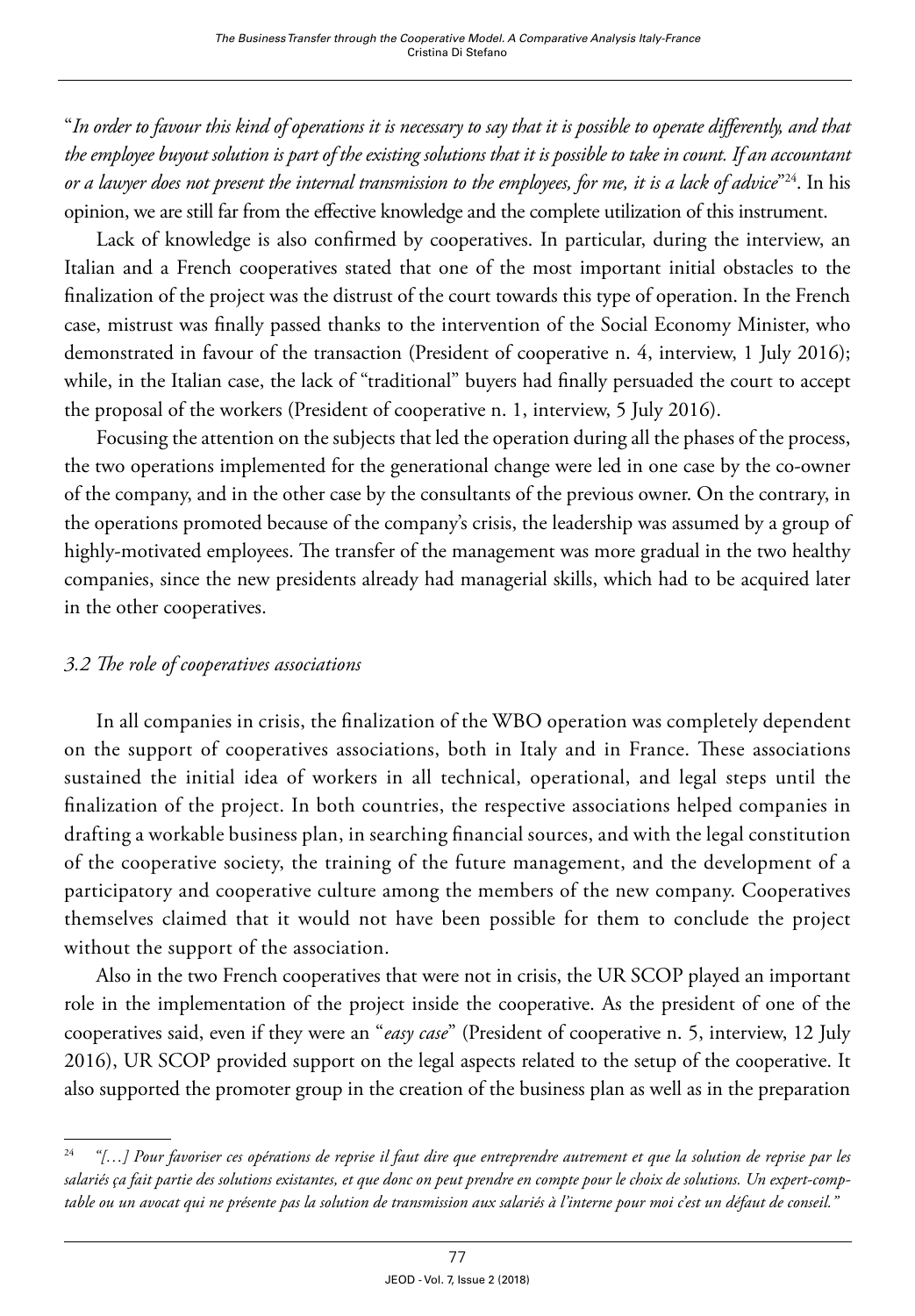"*In order to favour this kind of operations it is necessary to say that it is possible to operate differently, and that the employee buyout solution is part of the existing solutions that it is possible to take in count. If an accountant or a lawyer does not present the internal transmission to the employees, for me, it is a lack of advice*"24. In his opinion, we are still far from the effective knowledge and the complete utilization of this instrument.

Lack of knowledge is also confirmed by cooperatives. In particular, during the interview, an Italian and a French cooperatives stated that one of the most important initial obstacles to the finalization of the project was the distrust of the court towards this type of operation. In the French case, mistrust was finally passed thanks to the intervention of the Social Economy Minister, who demonstrated in favour of the transaction (President of cooperative n. 4, interview, 1 July 2016); while, in the Italian case, the lack of "traditional" buyers had finally persuaded the court to accept the proposal of the workers (President of cooperative n. 1, interview, 5 July 2016).

Focusing the attention on the subjects that led the operation during all the phases of the process, the two operations implemented for the generational change were led in one case by the co-owner of the company, and in the other case by the consultants of the previous owner. On the contrary, in the operations promoted because of the company's crisis, the leadership was assumed by a group of highly-motivated employees. The transfer of the management was more gradual in the two healthy companies, since the new presidents already had managerial skills, which had to be acquired later in the other cooperatives.

#### *3.2 The role of cooperatives associations*

In all companies in crisis, the finalization of the WBO operation was completely dependent on the support of cooperatives associations, both in Italy and in France. These associations sustained the initial idea of workers in all technical, operational, and legal steps until the finalization of the project. In both countries, the respective associations helped companies in drafting a workable business plan, in searching financial sources, and with the legal constitution of the cooperative society, the training of the future management, and the development of a participatory and cooperative culture among the members of the new company. Cooperatives themselves claimed that it would not have been possible for them to conclude the project without the support of the association.

Also in the two French cooperatives that were not in crisis, the UR SCOP played an important role in the implementation of the project inside the cooperative. As the president of one of the cooperatives said, even if they were an "*easy case*" (President of cooperative n. 5, interview, 12 July 2016), UR SCOP provided support on the legal aspects related to the setup of the cooperative. It also supported the promoter group in the creation of the business plan as well as in the preparation

<sup>24</sup> *"[…] Pour favoriser ces opérations de reprise il faut dire que entreprendre autrement et que la solution de reprise par les salariés ça fait partie des solutions existantes, et que donc on peut prendre en compte pour le choix de solutions. Un expert-comptable ou un avocat qui ne présente pas la solution de transmission aux salariés à l'interne pour moi c'est un défaut de conseil."*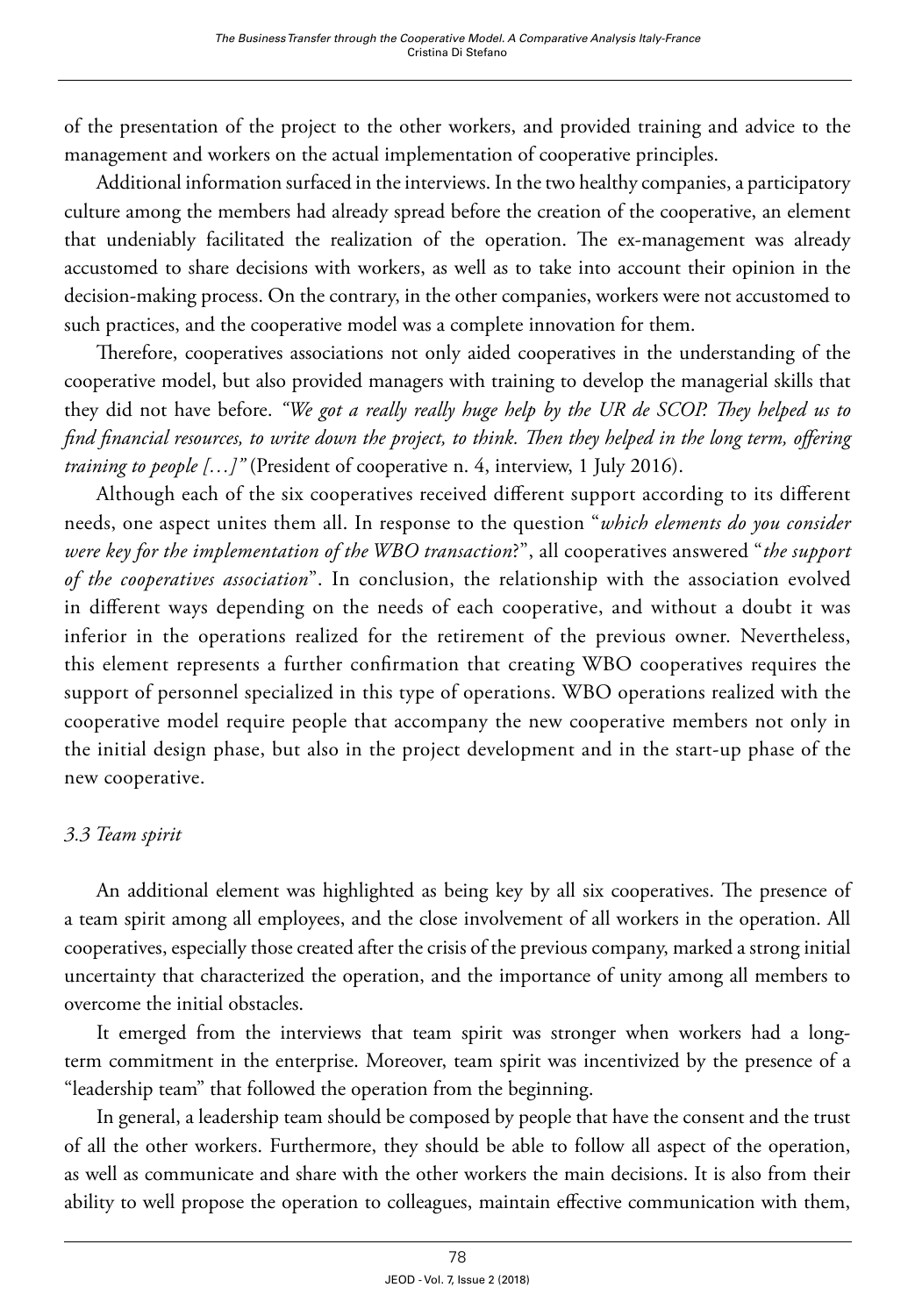of the presentation of the project to the other workers, and provided training and advice to the management and workers on the actual implementation of cooperative principles.

Additional information surfaced in the interviews. In the two healthy companies, a participatory culture among the members had already spread before the creation of the cooperative, an element that undeniably facilitated the realization of the operation. The ex-management was already accustomed to share decisions with workers, as well as to take into account their opinion in the decision-making process. On the contrary, in the other companies, workers were not accustomed to such practices, and the cooperative model was a complete innovation for them.

Therefore, cooperatives associations not only aided cooperatives in the understanding of the cooperative model, but also provided managers with training to develop the managerial skills that they did not have before. *"We got a really really huge help by the UR de SCOP. They helped us to find financial resources, to write down the project, to think. Then they helped in the long term, offering training to people [...]*" (President of cooperative n. 4, interview, 1 July 2016).

Although each of the six cooperatives received different support according to its different needs, one aspect unites them all. In response to the question "*which elements do you consider were key for the implementation of the WBO transaction*?", all cooperatives answered "*the support of the cooperatives association*". In conclusion, the relationship with the association evolved in different ways depending on the needs of each cooperative, and without a doubt it was inferior in the operations realized for the retirement of the previous owner. Nevertheless, this element represents a further confirmation that creating WBO cooperatives requires the support of personnel specialized in this type of operations. WBO operations realized with the cooperative model require people that accompany the new cooperative members not only in the initial design phase, but also in the project development and in the start-up phase of the new cooperative.

# *3.3 Team spirit*

An additional element was highlighted as being key by all six cooperatives. The presence of a team spirit among all employees, and the close involvement of all workers in the operation. All cooperatives, especially those created after the crisis of the previous company, marked a strong initial uncertainty that characterized the operation, and the importance of unity among all members to overcome the initial obstacles.

It emerged from the interviews that team spirit was stronger when workers had a longterm commitment in the enterprise. Moreover, team spirit was incentivized by the presence of a "leadership team" that followed the operation from the beginning.

In general, a leadership team should be composed by people that have the consent and the trust of all the other workers. Furthermore, they should be able to follow all aspect of the operation, as well as communicate and share with the other workers the main decisions. It is also from their ability to well propose the operation to colleagues, maintain effective communication with them,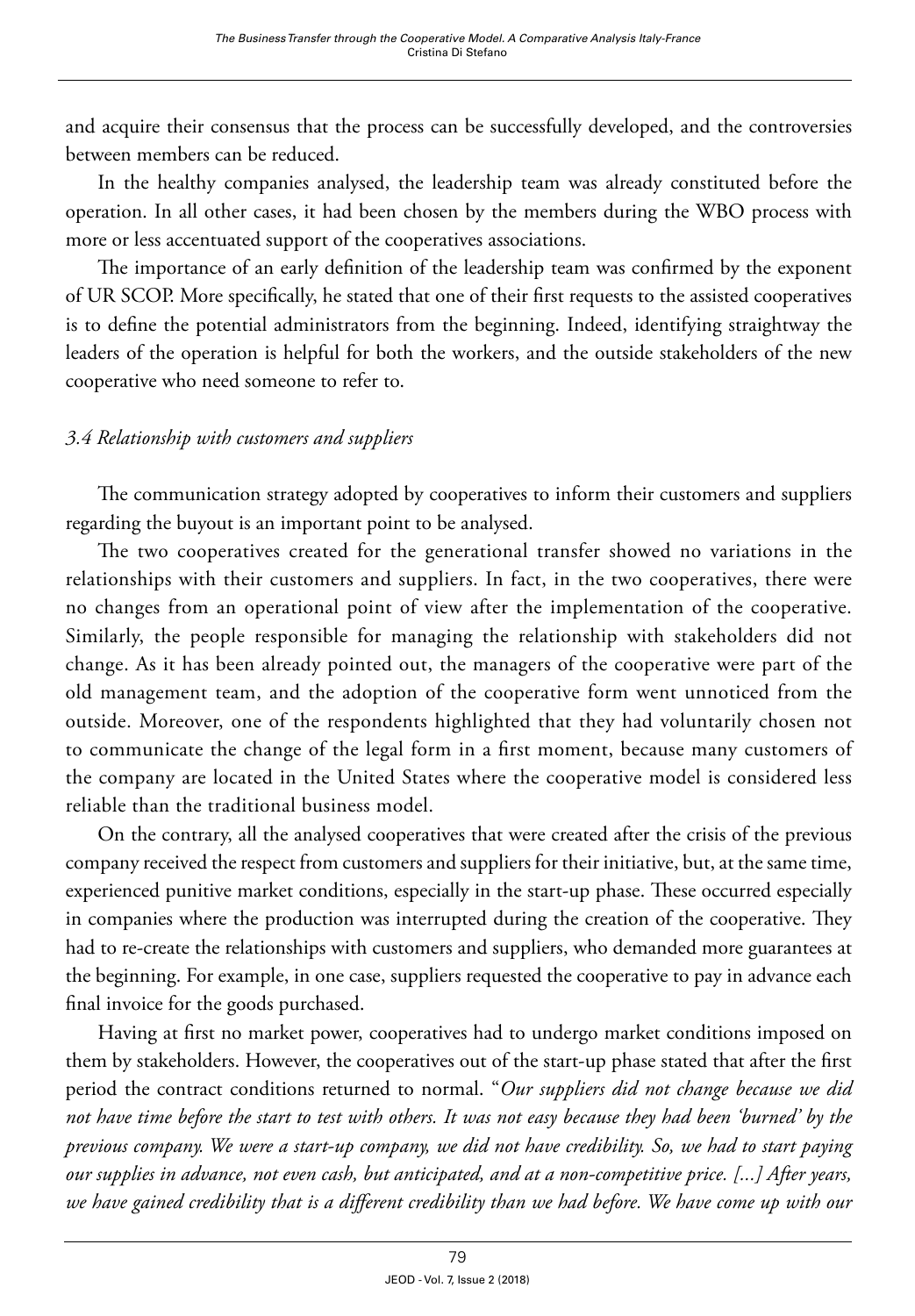and acquire their consensus that the process can be successfully developed, and the controversies between members can be reduced.

In the healthy companies analysed, the leadership team was already constituted before the operation. In all other cases, it had been chosen by the members during the WBO process with more or less accentuated support of the cooperatives associations.

The importance of an early definition of the leadership team was confirmed by the exponent of UR SCOP. More specifically, he stated that one of their first requests to the assisted cooperatives is to define the potential administrators from the beginning. Indeed, identifying straightway the leaders of the operation is helpful for both the workers, and the outside stakeholders of the new cooperative who need someone to refer to.

# *3.4 Relationship with customers and suppliers*

The communication strategy adopted by cooperatives to inform their customers and suppliers regarding the buyout is an important point to be analysed.

The two cooperatives created for the generational transfer showed no variations in the relationships with their customers and suppliers. In fact, in the two cooperatives, there were no changes from an operational point of view after the implementation of the cooperative. Similarly, the people responsible for managing the relationship with stakeholders did not change. As it has been already pointed out, the managers of the cooperative were part of the old management team, and the adoption of the cooperative form went unnoticed from the outside. Moreover, one of the respondents highlighted that they had voluntarily chosen not to communicate the change of the legal form in a first moment, because many customers of the company are located in the United States where the cooperative model is considered less reliable than the traditional business model.

On the contrary, all the analysed cooperatives that were created after the crisis of the previous company received the respect from customers and suppliers for their initiative, but, at the same time, experienced punitive market conditions, especially in the start-up phase. These occurred especially in companies where the production was interrupted during the creation of the cooperative. They had to re-create the relationships with customers and suppliers, who demanded more guarantees at the beginning. For example, in one case, suppliers requested the cooperative to pay in advance each final invoice for the goods purchased.

Having at first no market power, cooperatives had to undergo market conditions imposed on them by stakeholders. However, the cooperatives out of the start-up phase stated that after the first period the contract conditions returned to normal. "*Our suppliers did not change because we did not have time before the start to test with others. It was not easy because they had been 'burned' by the previous company. We were a start-up company, we did not have credibility. So, we had to start paying our supplies in advance, not even cash, but anticipated, and at a non-competitive price. [...] After years, we have gained credibility that is a different credibility than we had before. We have come up with our*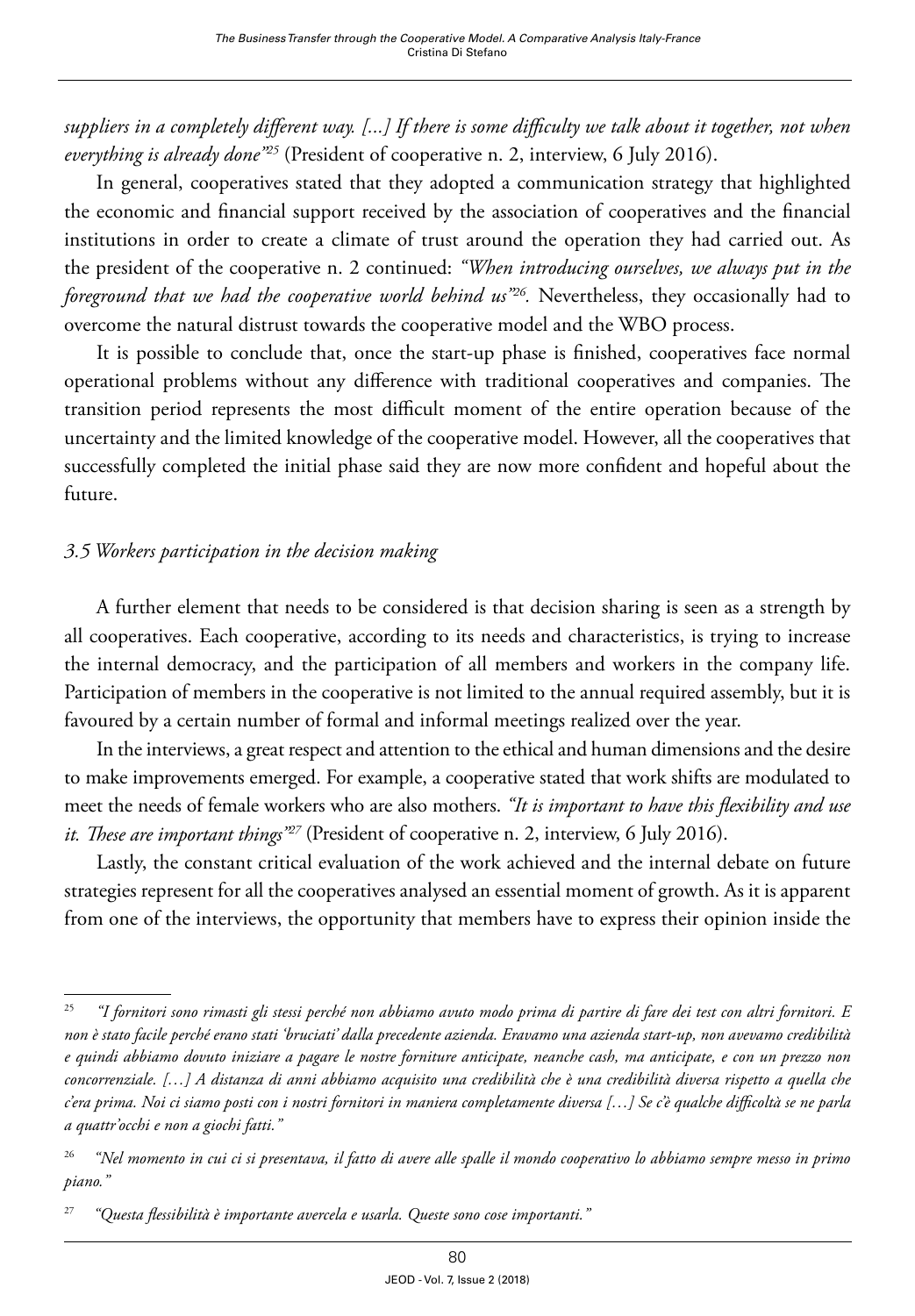suppliers in a completely different way. [...] If there is some difficulty we talk about it together, not when *everything is already done"25* (President of cooperative n. 2, interview, 6 July 2016).

In general, cooperatives stated that they adopted a communication strategy that highlighted the economic and financial support received by the association of cooperatives and the financial institutions in order to create a climate of trust around the operation they had carried out. As the president of the cooperative n. 2 continued: *"When introducing ourselves, we always put in the foreground that we had the cooperative world behind us"26.* Nevertheless, they occasionally had to overcome the natural distrust towards the cooperative model and the WBO process.

It is possible to conclude that, once the start-up phase is finished, cooperatives face normal operational problems without any difference with traditional cooperatives and companies. The transition period represents the most difficult moment of the entire operation because of the uncertainty and the limited knowledge of the cooperative model. However, all the cooperatives that successfully completed the initial phase said they are now more confident and hopeful about the future.

## *3.5 Workers participation in the decision making*

A further element that needs to be considered is that decision sharing is seen as a strength by all cooperatives. Each cooperative, according to its needs and characteristics, is trying to increase the internal democracy, and the participation of all members and workers in the company life. Participation of members in the cooperative is not limited to the annual required assembly, but it is favoured by a certain number of formal and informal meetings realized over the year.

In the interviews, a great respect and attention to the ethical and human dimensions and the desire to make improvements emerged. For example, a cooperative stated that work shifts are modulated to meet the needs of female workers who are also mothers. *"It is important to have this flexibility and use it. These are important things"27* (President of cooperative n. 2, interview, 6 July 2016).

Lastly, the constant critical evaluation of the work achieved and the internal debate on future strategies represent for all the cooperatives analysed an essential moment of growth. As it is apparent from one of the interviews, the opportunity that members have to express their opinion inside the

<sup>25</sup> *"I fornitori sono rimasti gli stessi perché non abbiamo avuto modo prima di partire di fare dei test con altri fornitori. E non è stato facile perché erano stati 'bruciati' dalla precedente azienda. Eravamo una azienda start-up, non avevamo credibilità e quindi abbiamo dovuto iniziare a pagare le nostre forniture anticipate, neanche cash, ma anticipate, e con un prezzo non concorrenziale. […] A distanza di anni abbiamo acquisito una credibilità che è una credibilità diversa rispetto a quella che c'era prima. Noi ci siamo posti con i nostri fornitori in maniera completamente diversa […] Se c'è qualche difficoltà se ne parla a quattr'occhi e non a giochi fatti."*

<sup>26</sup> *"Nel momento in cui ci si presentava, il fatto di avere alle spalle il mondo cooperativo lo abbiamo sempre messo in primo piano."*

<sup>27</sup> *"Questa flessibilità è importante avercela e usarla. Queste sono cose importanti."*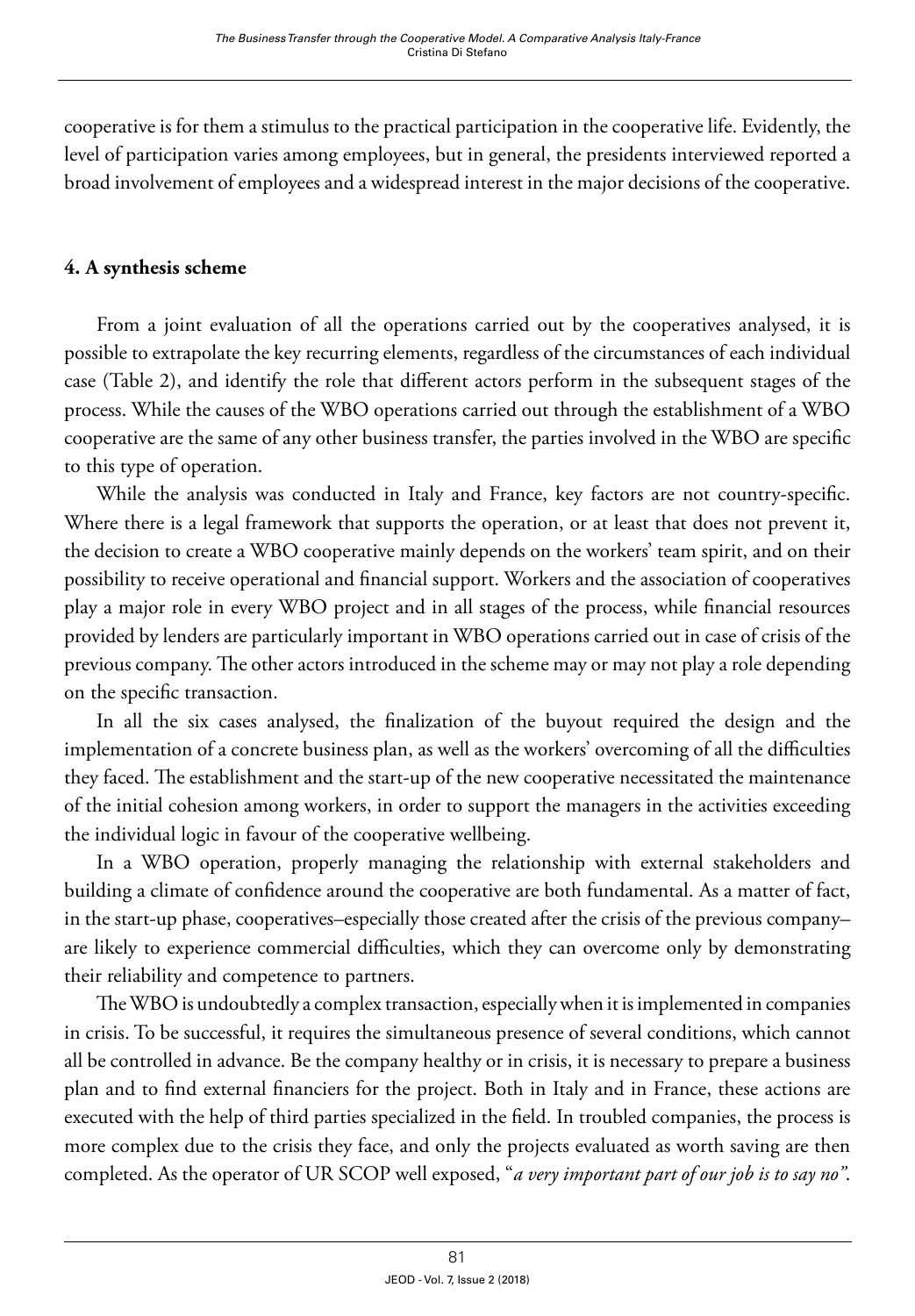cooperative is for them a stimulus to the practical participation in the cooperative life. Evidently, the level of participation varies among employees, but in general, the presidents interviewed reported a broad involvement of employees and a widespread interest in the major decisions of the cooperative.

## **4. A synthesis scheme**

From a joint evaluation of all the operations carried out by the cooperatives analysed, it is possible to extrapolate the key recurring elements, regardless of the circumstances of each individual case (Table 2), and identify the role that different actors perform in the subsequent stages of the process. While the causes of the WBO operations carried out through the establishment of a WBO cooperative are the same of any other business transfer, the parties involved in the WBO are specific to this type of operation.

While the analysis was conducted in Italy and France, key factors are not country-specific. Where there is a legal framework that supports the operation, or at least that does not prevent it, the decision to create a WBO cooperative mainly depends on the workers' team spirit, and on their possibility to receive operational and financial support. Workers and the association of cooperatives play a major role in every WBO project and in all stages of the process, while financial resources provided by lenders are particularly important in WBO operations carried out in case of crisis of the previous company. The other actors introduced in the scheme may or may not play a role depending on the specific transaction.

In all the six cases analysed, the finalization of the buyout required the design and the implementation of a concrete business plan, as well as the workers' overcoming of all the difficulties they faced. The establishment and the start-up of the new cooperative necessitated the maintenance of the initial cohesion among workers, in order to support the managers in the activities exceeding the individual logic in favour of the cooperative wellbeing.

In a WBO operation, properly managing the relationship with external stakeholders and building a climate of confidence around the cooperative are both fundamental. As a matter of fact, in the start-up phase, cooperatives–especially those created after the crisis of the previous company– are likely to experience commercial difficulties, which they can overcome only by demonstrating their reliability and competence to partners.

The WBO is undoubtedly a complex transaction, especially when it is implemented in companies in crisis. To be successful, it requires the simultaneous presence of several conditions, which cannot all be controlled in advance. Be the company healthy or in crisis, it is necessary to prepare a business plan and to find external financiers for the project. Both in Italy and in France, these actions are executed with the help of third parties specialized in the field. In troubled companies, the process is more complex due to the crisis they face, and only the projects evaluated as worth saving are then completed. As the operator of UR SCOP well exposed, "*a very important part of our job is to say no"*.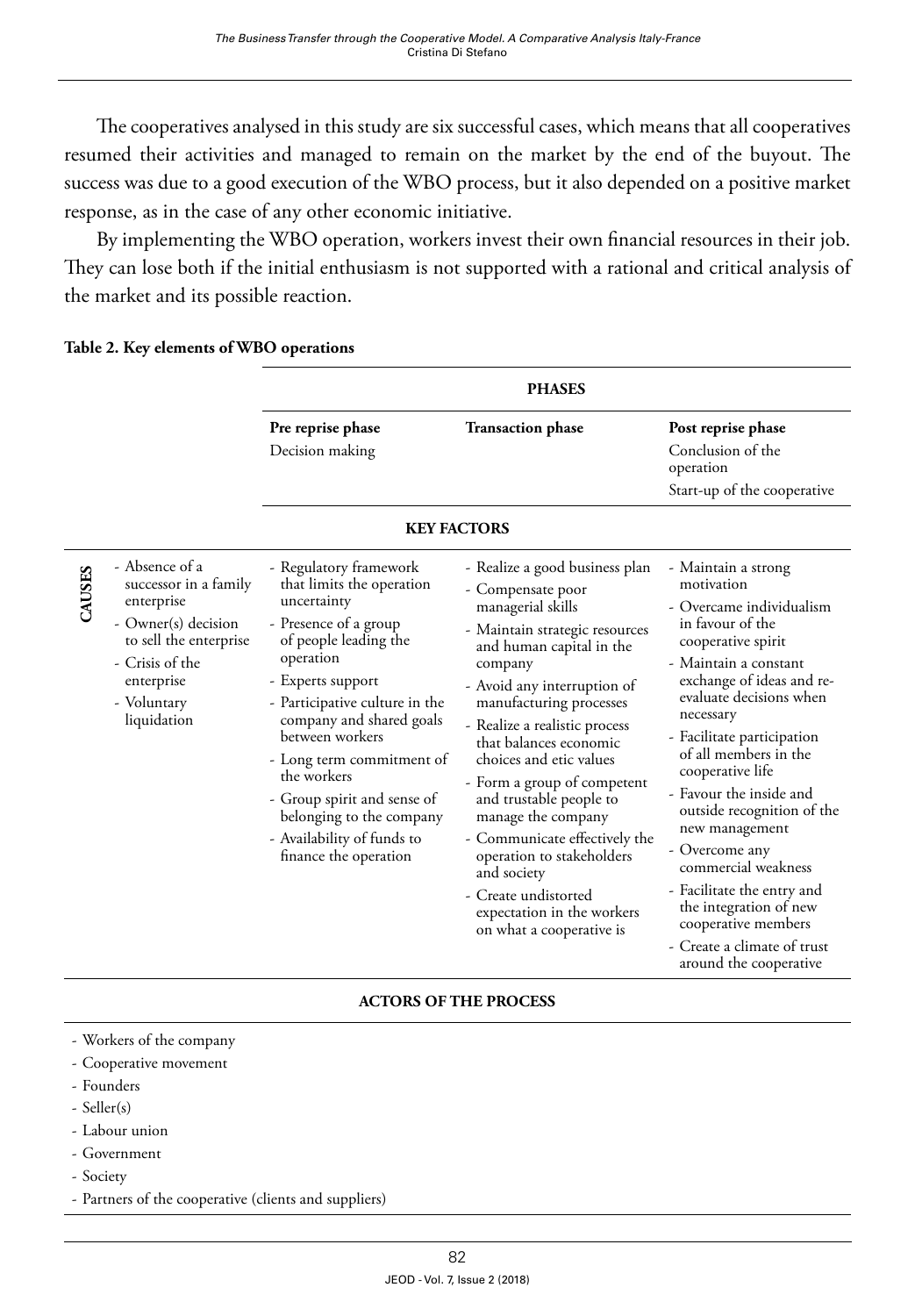The cooperatives analysed in this study are six successful cases, which means that all cooperatives resumed their activities and managed to remain on the market by the end of the buyout. The success was due to a good execution of the WBO process, but it also depended on a positive market response, as in the case of any other economic initiative.

By implementing the WBO operation, workers invest their own financial resources in their job. They can lose both if the initial enthusiasm is not supported with a rational and critical analysis of the market and its possible reaction.

|                    |                                                                                                                                                                       | <b>PHASES</b>                                                                                                                                                                                                                                                                                                                                                                                         |                                                                                                                                                                                                                                                                                                                                                                                                                                                                                                                                                  |                                                                                                                                                                                                                                                                                                                                                                                                                                                                                                                                              |  |  |  |
|--------------------|-----------------------------------------------------------------------------------------------------------------------------------------------------------------------|-------------------------------------------------------------------------------------------------------------------------------------------------------------------------------------------------------------------------------------------------------------------------------------------------------------------------------------------------------------------------------------------------------|--------------------------------------------------------------------------------------------------------------------------------------------------------------------------------------------------------------------------------------------------------------------------------------------------------------------------------------------------------------------------------------------------------------------------------------------------------------------------------------------------------------------------------------------------|----------------------------------------------------------------------------------------------------------------------------------------------------------------------------------------------------------------------------------------------------------------------------------------------------------------------------------------------------------------------------------------------------------------------------------------------------------------------------------------------------------------------------------------------|--|--|--|
|                    |                                                                                                                                                                       | Pre reprise phase<br>Decision making                                                                                                                                                                                                                                                                                                                                                                  | <b>Transaction phase</b>                                                                                                                                                                                                                                                                                                                                                                                                                                                                                                                         | Post reprise phase<br>Conclusion of the<br>operation<br>Start-up of the cooperative                                                                                                                                                                                                                                                                                                                                                                                                                                                          |  |  |  |
| <b>KEY FACTORS</b> |                                                                                                                                                                       |                                                                                                                                                                                                                                                                                                                                                                                                       |                                                                                                                                                                                                                                                                                                                                                                                                                                                                                                                                                  |                                                                                                                                                                                                                                                                                                                                                                                                                                                                                                                                              |  |  |  |
| CAUSES             | - Absence of a<br>successor in a family<br>enterprise<br>- Owner(s) decision<br>to sell the enterprise<br>- Crisis of the<br>enterprise<br>- Voluntary<br>liquidation | - Regulatory framework<br>that limits the operation<br>uncertainty<br>- Presence of a group<br>of people leading the<br>operation<br>- Experts support<br>- Participative culture in the<br>company and shared goals<br>between workers<br>- Long term commitment of<br>the workers<br>- Group spirit and sense of<br>belonging to the company<br>- Availability of funds to<br>finance the operation | - Realize a good business plan<br>- Compensate poor<br>managerial skills<br>- Maintain strategic resources<br>and human capital in the<br>company<br>- Avoid any interruption of<br>manufacturing processes<br>- Realize a realistic process<br>that balances economic<br>choices and etic values<br>- Form a group of competent<br>and trustable people to<br>manage the company<br>- Communicate effectively the<br>operation to stakeholders<br>and society<br>- Create undistorted<br>expectation in the workers<br>on what a cooperative is | - Maintain a strong<br>motivation<br>- Overcame individualism<br>in favour of the<br>cooperative spirit<br>- Maintain a constant<br>exchange of ideas and re-<br>evaluate decisions when<br>necessary<br>- Facilitate participation<br>of all members in the<br>cooperative life<br>- Favour the inside and<br>outside recognition of the<br>new management<br>- Overcome any<br>commercial weakness<br>- Facilitate the entry and<br>the integration of new<br>cooperative members<br>- Create a climate of trust<br>around the cooperative |  |  |  |

#### **Table 2. Key elements of WBO operations**

#### **ACTORS OF THE PROCESS**

- Workers of the company
- Cooperative movement
- Founders
- Seller(s)
- Labour union
- Government
- Society
- Partners of the cooperative (clients and suppliers)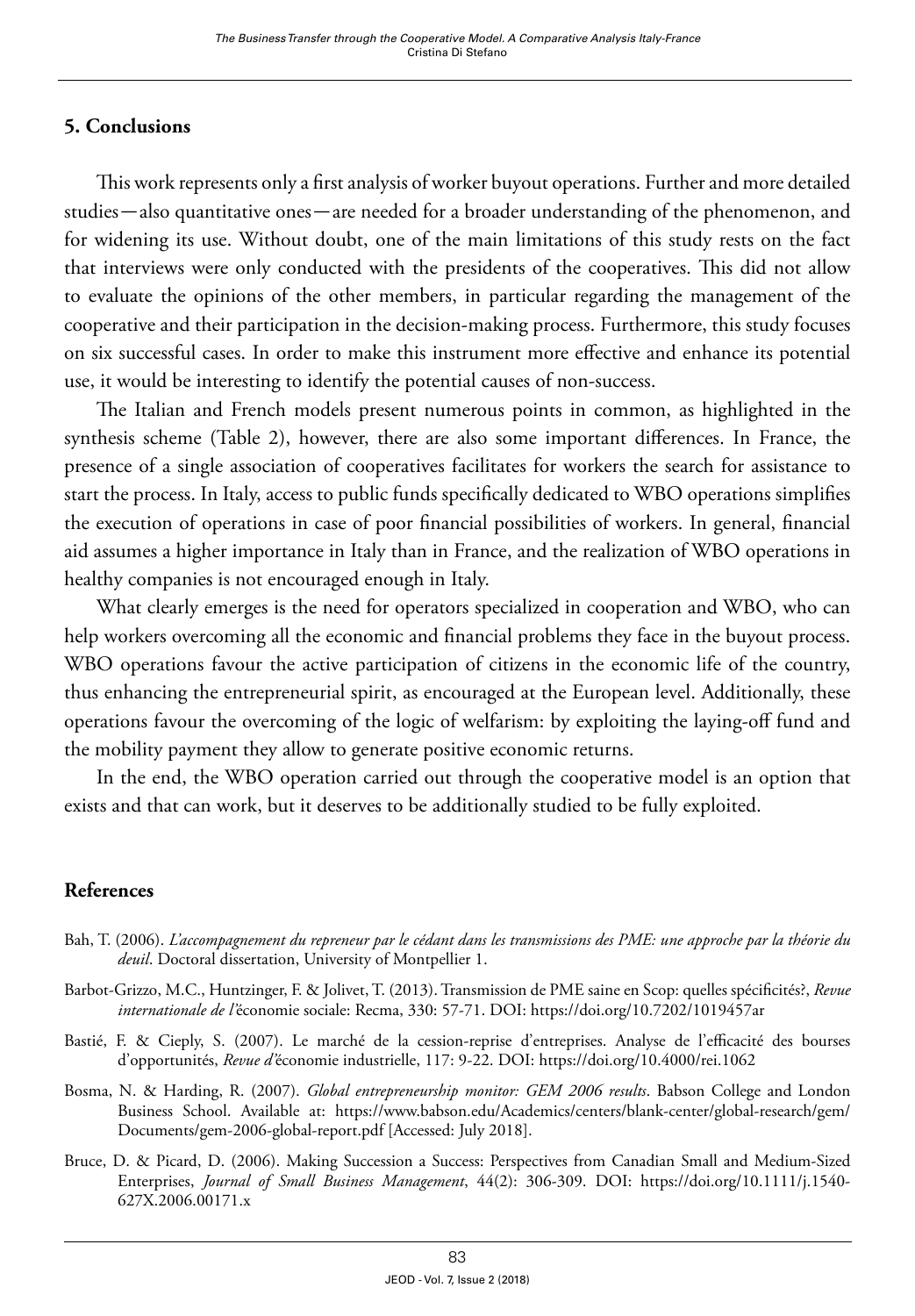## **5. Conclusions**

This work represents only a first analysis of worker buyout operations. Further and more detailed studies—also quantitative ones—are needed for a broader understanding of the phenomenon, and for widening its use. Without doubt, one of the main limitations of this study rests on the fact that interviews were only conducted with the presidents of the cooperatives. This did not allow to evaluate the opinions of the other members, in particular regarding the management of the cooperative and their participation in the decision-making process. Furthermore, this study focuses on six successful cases. In order to make this instrument more effective and enhance its potential use, it would be interesting to identify the potential causes of non-success.

The Italian and French models present numerous points in common, as highlighted in the synthesis scheme (Table 2), however, there are also some important differences. In France, the presence of a single association of cooperatives facilitates for workers the search for assistance to start the process. In Italy, access to public funds specifically dedicated to WBO operations simplifies the execution of operations in case of poor financial possibilities of workers. In general, financial aid assumes a higher importance in Italy than in France, and the realization of WBO operations in healthy companies is not encouraged enough in Italy.

What clearly emerges is the need for operators specialized in cooperation and WBO, who can help workers overcoming all the economic and financial problems they face in the buyout process. WBO operations favour the active participation of citizens in the economic life of the country, thus enhancing the entrepreneurial spirit, as encouraged at the European level. Additionally, these operations favour the overcoming of the logic of welfarism: by exploiting the laying-off fund and the mobility payment they allow to generate positive economic returns.

In the end, the WBO operation carried out through the cooperative model is an option that exists and that can work, but it deserves to be additionally studied to be fully exploited.

### **References**

- Bah, T. (2006). *L'accompagnement du repreneur par le cédant dans les transmissions des PME: une approche par la théorie du deuil*. Doctoral dissertation, University of Montpellier 1.
- Barbot-Grizzo, M.C., Huntzinger, F. & Jolivet, T. (2013). Transmission de PME saine en Scop: quelles spécificités?, *Revue internationale de l'*économie sociale: Recma, 330: 57-71. DOI:<https://doi.org/10.7202/1019457ar>
- Bastié, F. & Cieply, S. (2007). Le marché de la cession-reprise d'entreprises. Analyse de l'efficacité des bourses d'opportunités, *Revue d'*économie industrielle, 117: 9-22. DOI: <https://doi.org/10.4000/rei.1062>
- Bosma, N. & Harding, R. (2007). *Global entrepreneurship monitor: GEM 2006 results*. Babson College and London Business School. Available at: [https://www.babson.edu/Academics/centers/blank-center/global-research/gem/](https://www.babson.edu/Academics/centers/blank-center/global-research/gem/Documents/gem-2006-global-report.pdf) [Documents/gem-2006-global-report.pdf](https://www.babson.edu/Academics/centers/blank-center/global-research/gem/Documents/gem-2006-global-report.pdf) [Accessed: July 2018].
- Bruce, D. & Picard, D. (2006). Making Succession a Success: Perspectives from Canadian Small and Medium‐Sized Enterprises, *Journal of Small Business Management*, 44(2): 306-309. DOI: [https://doi.org/10.1111/j.1540-](https://doi.org/10.1111/j.1540-627X.2006.00171.x) [627X.2006.00171.x](https://doi.org/10.1111/j.1540-627X.2006.00171.x)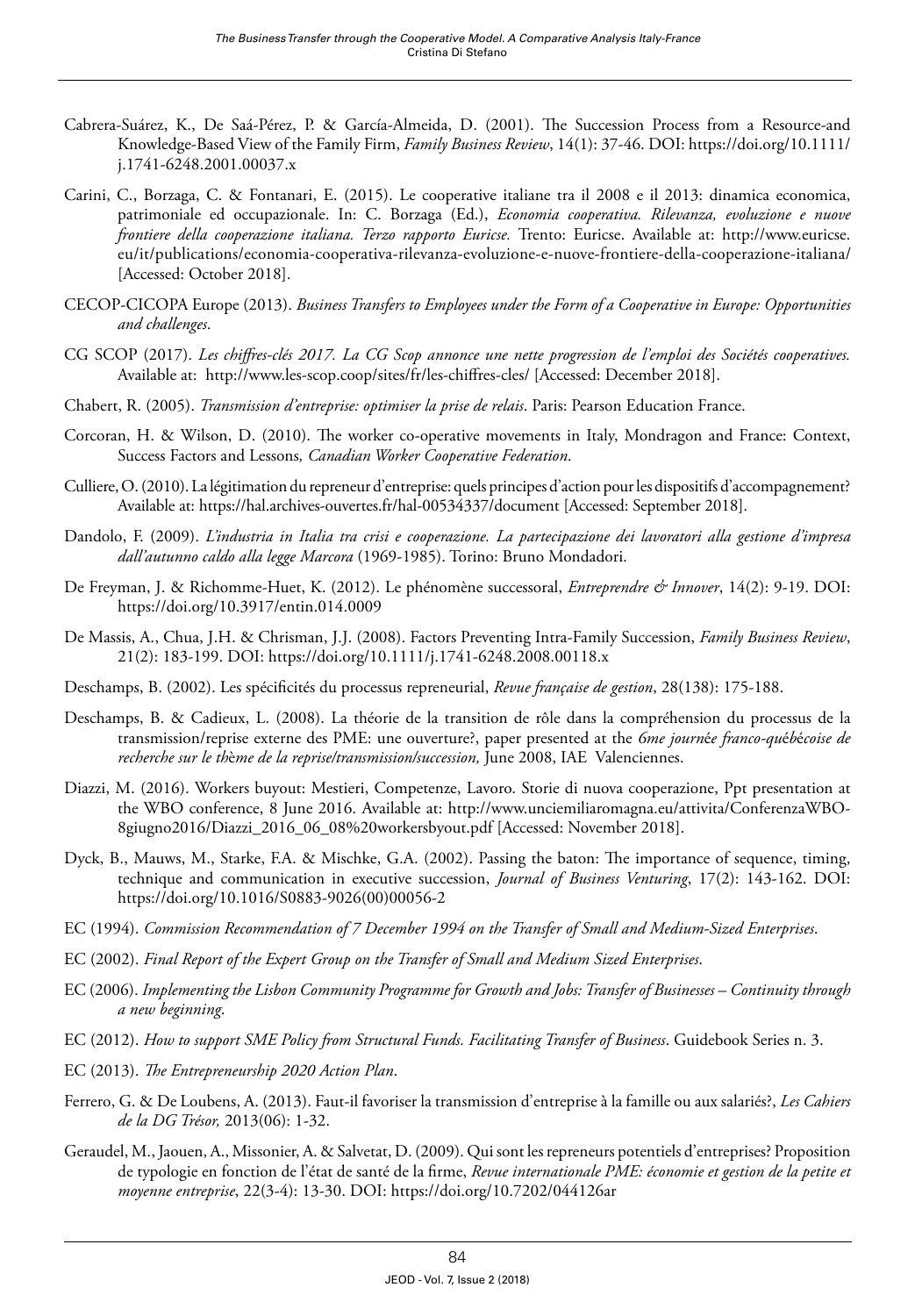- Cabrera-Suárez, K., De Saá-Pérez, P. & García-Almeida, D. (2001). The Succession Process from a Resource-and Knowledge-Based View of the Family Firm, *Family Business Review*, 14(1): 37-46. DOI: [https://doi.org/10.1111/](https://doi.org/10.1111/j.1741-6248.2001.00037.x) [j.1741-6248.2001.00037.x](https://doi.org/10.1111/j.1741-6248.2001.00037.x)
- Carini, C., Borzaga, C. & Fontanari, E. (2015). Le cooperative italiane tra il 2008 e il 2013: dinamica economica, patrimoniale ed occupazionale. In: C. Borzaga (Ed.), *Economia cooperativa. Rilevanza, evoluzione e nuove frontiere della cooperazione italiana. Terzo rapporto Euricse.* Trento: Euricse. Available at: [http://www.euricse.](http://www.euricse.eu/it/publications/economia-cooperativa-rilevanza-evoluzione-e-nuove-frontiere-della-cooperazione-italiana/) [eu/it/publications/economia-cooperativa-rilevanza-evoluzione-e-nuove-frontiere-della-cooperazione-italiana/](http://www.euricse.eu/it/publications/economia-cooperativa-rilevanza-evoluzione-e-nuove-frontiere-della-cooperazione-italiana/) [Accessed: October 2018].
- CECOP-CICOPA Europe (2013). *Business Transfers to Employees under the Form of a Cooperative in Europe: Opportunities and challenges*.
- CG SCOP (2017). *Les chiffres-clés 2017. La CG Scop annonce une nette progression de l'emploi des Sociétés cooperatives.*  Available at: <http://www.les-scop.coop/sites/fr/les-chiffres-cles/>[Accessed: December 2018].
- Chabert, R. (2005). *Transmission d'entreprise: optimiser la prise de relais*. Paris: Pearson Education France.
- Corcoran, H. & Wilson, D. (2010). The worker co-operative movements in Italy, Mondragon and France: Context, Success Factors and Lessons*, Canadian Worker Cooperative Federation*.
- Culliere, O. (2010). La légitimation du repreneur d'entreprise: quels principes d'action pour les dispositifs d'accompagnement? Available at:<https://hal.archives-ouvertes.fr/hal-00534337/document> [Accessed: September 2018].
- Dandolo, F. (2009). *L'industria in Italia tra crisi e cooperazione. La partecipazione dei lavoratori alla gestione d'impresa dall'autunno caldo alla legge Marcora* (1969-1985). Torino: Bruno Mondadori.
- De Freyman, J. & Richomme-Huet, K. (2012). Le phénomène successoral, *Entreprendre & Innover*, 14(2): 9-19. DOI: <https://doi.org/10.3917/entin.014.0009>
- De Massis, A., Chua, J.H. & Chrisman, J.J. (2008). Factors Preventing Intra-Family Succession, *Family Business Review*, 21(2): 183-199. DOI:<https://doi.org/10.1111/j.1741-6248.2008.00118.x>
- Deschamps, B. (2002). Les spécificités du processus repreneurial, *Revue française de gestion*, 28(138): 175-188.
- Deschamps, B. & Cadieux, L. (2008). La théorie de la transition de rôle dans la compréhension du processus de la transmission/reprise externe des PME: une ouverture?, paper presented at the *6me journ*é*e franco-qu*é*b*é*coise de recherche sur le th*è*me de la reprise/transmission/succession,* June 2008, IAE Valenciennes.
- Diazzi, M. (2016). Workers buyout: Mestieri, Competenze, Lavoro. Storie di nuova cooperazione, Ppt presentation at the WBO conference, 8 June 2016. Available at: [http://www.unciemiliaromagna.eu/attivita/ConferenzaWBO-](http://www.unciemiliaromagna.eu/attivita/ConferenzaWBO-8giugno2016/Diazzi_2016_06_08%20workersbyout.pdf)[8giugno2016/Diazzi\\_2016\\_06\\_08%20workersbyout.pdf](http://www.unciemiliaromagna.eu/attivita/ConferenzaWBO-8giugno2016/Diazzi_2016_06_08%20workersbyout.pdf) [Accessed: November 2018].
- Dyck, B., Mauws, M., Starke, F.A. & Mischke, G.A. (2002). Passing the baton: The importance of sequence, timing, technique and communication in executive succession, *Journal of Business Venturing*, 17(2): 143-162. DOI: [https://doi.org/10.1016/S0883-9026\(00\)00056-2](https://doi.org/10.1016/S0883-9026(00)00056-2)
- EC (1994). *Commission Recommendation of 7 December 1994 on the Transfer of Small and Medium-Sized Enterprises*.
- EC (2002). *Final Report of the Expert Group on the Transfer of Small and Medium Sized Enterprises*.
- EC (2006). *Implementing the Lisbon Community Programme for Growth and Jobs: Transfer of Businesses Continuity through a new beginning*.
- EC (2012). *How to support SME Policy from Structural Funds. Facilitating Transfer of Business*. Guidebook Series n. 3.
- EC (2013). *The Entrepreneurship 2020 Action Plan*.
- Ferrero, G. & De Loubens, A. (2013). Faut-il favoriser la transmission d'entreprise à la famille ou aux salariés?, *Les Cahiers de la DG Trésor,* 2013(06): 1-32.
- Geraudel, M., Jaouen, A., Missonier, A. & Salvetat, D. (2009). Qui sont les repreneurs potentiels d'entreprises? Proposition de typologie en fonction de l'état de santé de la firme, *Revue internationale PME: économie et gestion de la petite et moyenne entreprise*, 22(3-4): 13-30. DOI:<https://doi.org/10.7202/044126ar>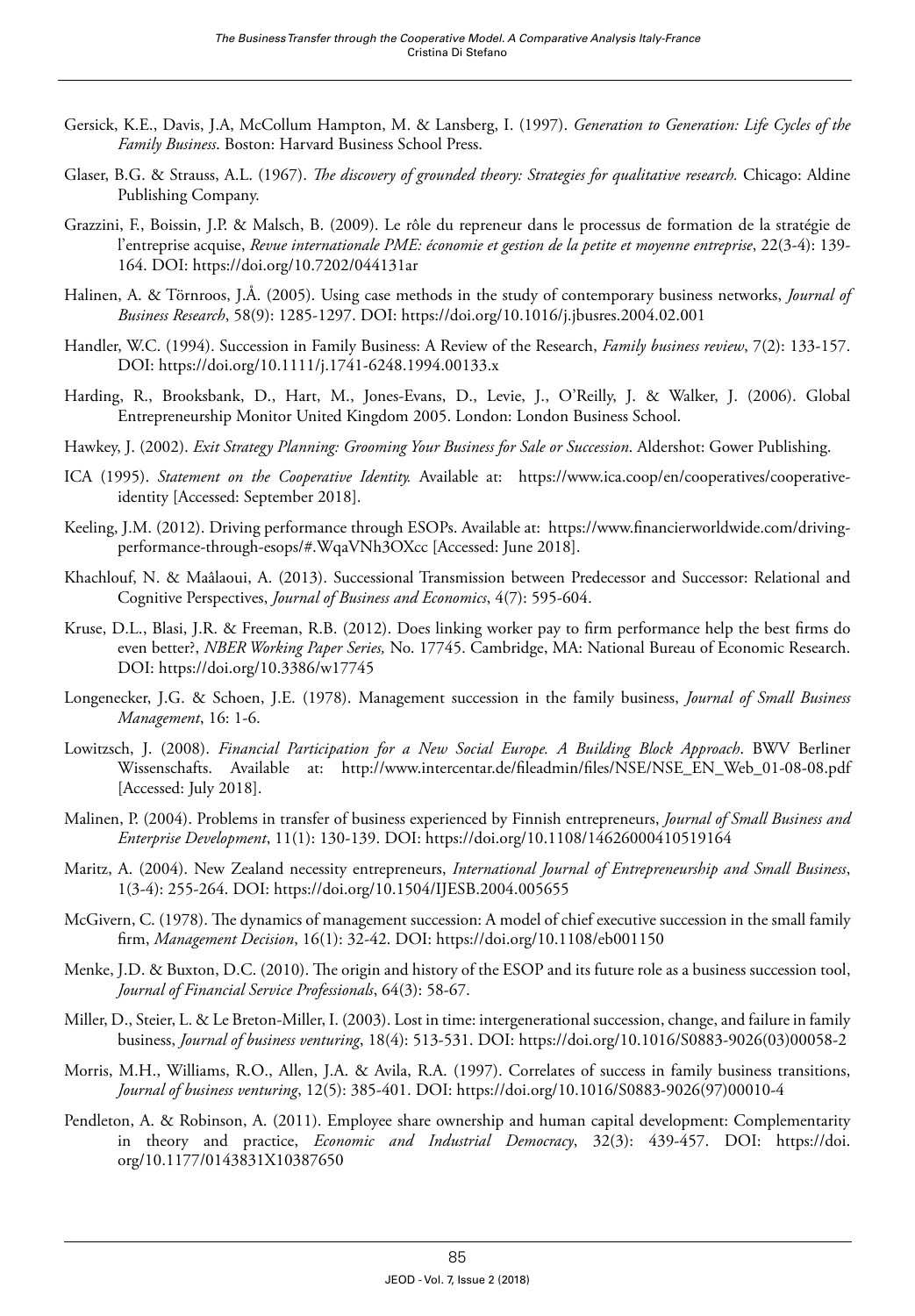- Gersick, K.E., Davis, J.A, McCollum Hampton, M. & Lansberg, I. (1997). *Generation to Generation: Life Cycles of the Family Business*. Boston: Harvard Business School Press.
- Glaser, B.G. & Strauss, A.L. (1967). *The discovery of grounded theory: Strategies for qualitative research.* Chicago: Aldine Publishing Company.
- Grazzini, F., Boissin, J.P. & Malsch, B. (2009). Le rôle du repreneur dans le processus de formation de la stratégie de l'entreprise acquise, *Revue internationale PME: économie et gestion de la petite et moyenne entreprise*, 22(3-4): 139- 164. DOI:<https://doi.org/10.7202/044131ar>
- Halinen, A. & Törnroos, J.Å. (2005). Using case methods in the study of contemporary business networks, *Journal of Business Research*, 58(9): 1285-1297. DOI: <https://doi.org/10.1016/j.jbusres.2004.02.001>
- Handler, W.C. (1994). Succession in Family Business: A Review of the Research, *Family business review*, 7(2): 133-157. DOI:<https://doi.org/10.1111/j.1741-6248.1994.00133.x>
- Harding, R., Brooksbank, D., Hart, M., Jones-Evans, D., Levie, J., O'Reilly, J. & Walker, J. (2006). Global Entrepreneurship Monitor United Kingdom 2005. London: London Business School.
- Hawkey, J. (2002). *Exit Strategy Planning: Grooming Your Business for Sale or Succession*. Aldershot: Gower Publishing.
- ICA (1995). *Statement on the Cooperative Identity.* Available at: [https://www.ica.coop/en/cooperatives/cooperative](https://www.ica.coop/en/cooperatives/cooperative-identity)[identity](https://www.ica.coop/en/cooperatives/cooperative-identity) [Accessed: September 2018].
- Keeling, J.M. (2012). Driving performance through ESOPs. Available at: https://www.financierworldwide.com/drivingperformance-through-esops/#.WqaVNh3OXcc [Accessed: June 2018].
- Khachlouf, N. & Maâlaoui, A. (2013). Successional Transmission between Predecessor and Successor: Relational and Cognitive Perspectives, *Journal of Business and Economics*, 4(7): 595-604.
- Kruse, D.L., Blasi, J.R. & Freeman, R.B. (2012). Does linking worker pay to firm performance help the best firms do even better?, *NBER Working Paper Series,* No. 17745. Cambridge, MA: National Bureau of Economic Research. DOI:<https://doi.org/10.3386/w17745>
- Longenecker, J.G. & Schoen, J.E. (1978). Management succession in the family business, *Journal of Small Business Management*, 16: 1-6.
- Lowitzsch, J. (2008). *Financial Participation for a New Social Europe. A Building Block Approach*. BWV Berliner Wissenschafts. Available at: [http://www.intercentar.de/fileadmin/files/NSE/NSE\\_EN\\_Web\\_01-08-08.pdf](http://www.intercentar.de/fileadmin/files/NSE/NSE_EN_Web_01-08-08.pdf) [Accessed: July 2018].
- Malinen, P. (2004). Problems in transfer of business experienced by Finnish entrepreneurs, *Journal of Small Business and Enterprise Development*, 11(1): 130-139. DOI:<https://doi.org/10.1108/14626000410519164>
- Maritz, A. (2004). New Zealand necessity entrepreneurs, *International Journal of Entrepreneurship and Small Business*, 1(3-4): 255-264. DOI:<https://doi.org/10.1504/IJESB.2004.005655>
- McGivern, C. (1978). The dynamics of management succession: A model of chief executive succession in the small family firm, *Management Decision*, 16(1): 32-42. DOI:<https://doi.org/10.1108/eb001150>
- Menke, J.D. & Buxton, D.C. (2010). The origin and history of the ESOP and its future role as a business succession tool, *Journal of Financial Service Professionals*, 64(3): 58-67.
- Miller, D., Steier, L. & Le Breton-Miller, I. (2003). Lost in time: intergenerational succession, change, and failure in family business, *Journal of business venturing*, 18(4): 513-531. DOI: [https://doi.org/10.1016/S0883-9026\(03\)00058-2](https://doi.org/10.1016/S0883-9026(03)00058-2)
- Morris, M.H., Williams, R.O., Allen, J.A. & Avila, R.A. (1997). Correlates of success in family business transitions, *Journal of business venturing*, 12(5): 385-401. DOI: [https://doi.org/10.1016/S0883-9026\(97\)00010-4](https://doi.org/10.1016/S0883-9026(97)00010-4)
- Pendleton, A. & Robinson, A. (2011). Employee share ownership and human capital development: Complementarity in theory and practice, *Economic and Industrial Democracy*, 32(3): 439-457. DOI: [https://doi.](https://doi.org/10.1177/0143831X10387650) [org/10.1177/0143831X10387650](https://doi.org/10.1177/0143831X10387650)